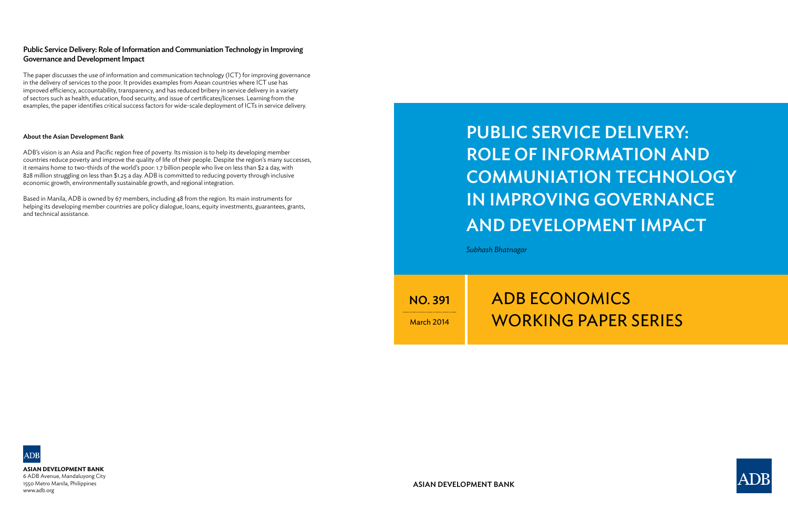# Public Service Delivery: Role of Information and Communiation Technology in Improving Governance and Development Impact

*Subhash Bhatnagar*

NO. 391

March 2014

# **ADB ECONOMICS** working paper series



ASIAN DEVELOPMENT BANK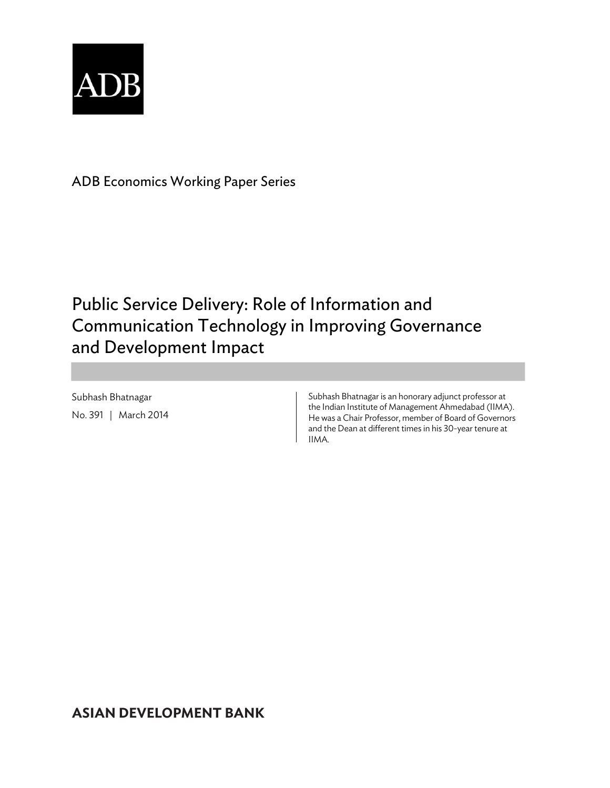

ADB Economics Working Paper Series

## Public Service Delivery: Role of Information and Communication Technology in Improving Governance and Development Impact

Subhash Bhatnagar No. 391 | March 2014 Subhash Bhatnagar is an honorary adjunct professor at the Indian Institute of Management Ahmedabad (IIMA). He was a Chair Professor, member of Board of Governors and the Dean at different times in his 30-year tenure at IIMA.

### **ASIAN DEVELOPMENT BANK**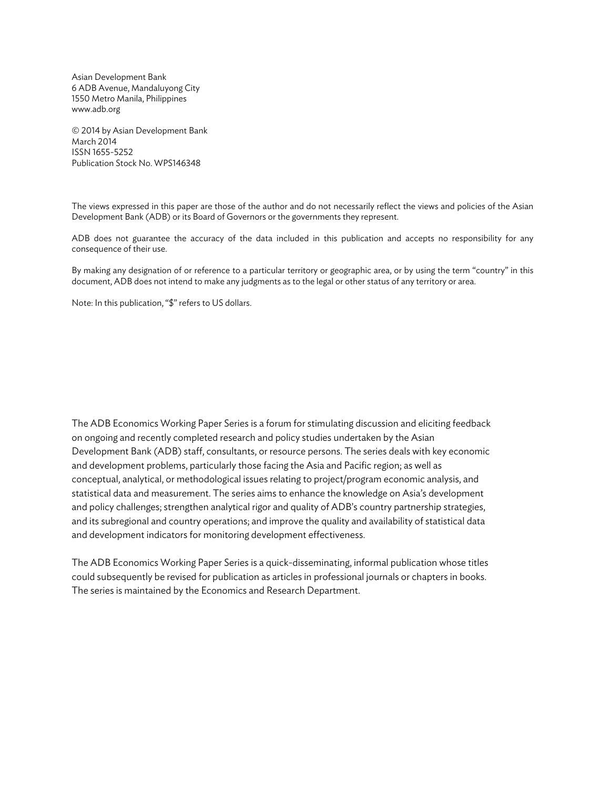Asian Development Bank 6 ADB Avenue, Mandaluyong City 1550 Metro Manila, Philippines www.adb.org

© 2014 by Asian Development Bank March 2014 ISSN 1655-5252 Publication Stock No. WPS146348

The views expressed in this paper are those of the author and do not necessarily reflect the views and policies of the Asian Development Bank (ADB) or its Board of Governors or the governments they represent.

ADB does not guarantee the accuracy of the data included in this publication and accepts no responsibility for any consequence of their use.

By making any designation of or reference to a particular territory or geographic area, or by using the term "country" in this document, ADB does not intend to make any judgments as to the legal or other status of any territory or area.

Note: In this publication, "\$" refers to US dollars.

The ADB Economics Working Paper Series is a forum for stimulating discussion and eliciting feedback on ongoing and recently completed research and policy studies undertaken by the Asian Development Bank (ADB) staff, consultants, or resource persons. The series deals with key economic and development problems, particularly those facing the Asia and Pacific region; as well as conceptual, analytical, or methodological issues relating to project/program economic analysis, and statistical data and measurement. The series aims to enhance the knowledge on Asia's development and policy challenges; strengthen analytical rigor and quality of ADB's country partnership strategies, and its subregional and country operations; and improve the quality and availability of statistical data and development indicators for monitoring development effectiveness.

The ADB Economics Working Paper Series is a quick-disseminating, informal publication whose titles could subsequently be revised for publication as articles in professional journals or chapters in books. The series is maintained by the Economics and Research Department.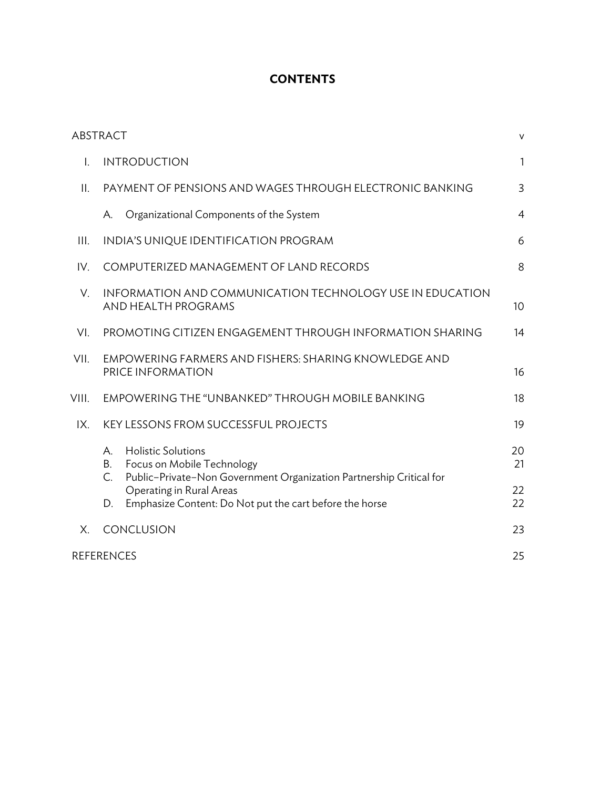### **CONTENTS**

|       | <b>ABSTRACT</b>                                                                                                                                  | V              |  |  |
|-------|--------------------------------------------------------------------------------------------------------------------------------------------------|----------------|--|--|
| I.    | <b>INTRODUCTION</b>                                                                                                                              |                |  |  |
| II.   | PAYMENT OF PENSIONS AND WAGES THROUGH ELECTRONIC BANKING                                                                                         |                |  |  |
|       | Organizational Components of the System<br>А.                                                                                                    | $\overline{4}$ |  |  |
| III.  | INDIA'S UNIQUE IDENTIFICATION PROGRAM                                                                                                            |                |  |  |
| IV.   | COMPUTERIZED MANAGEMENT OF LAND RECORDS                                                                                                          |                |  |  |
| V.    | INFORMATION AND COMMUNICATION TECHNOLOGY USE IN EDUCATION<br>AND HEALTH PROGRAMS                                                                 |                |  |  |
| VI.   | PROMOTING CITIZEN ENGAGEMENT THROUGH INFORMATION SHARING                                                                                         |                |  |  |
| VII.  | EMPOWERING FARMERS AND FISHERS: SHARING KNOWLEDGE AND<br>PRICE INFORMATION                                                                       |                |  |  |
| VIII. | EMPOWERING THE "UNBANKED" THROUGH MOBILE BANKING                                                                                                 |                |  |  |
| IX.   | KEY LESSONS FROM SUCCESSFUL PROJECTS                                                                                                             | 19             |  |  |
|       | <b>Holistic Solutions</b><br>Α.<br>В.<br>Focus on Mobile Technology<br>C.<br>Public-Private-Non Government Organization Partnership Critical for | 20<br>21       |  |  |
|       | Operating in Rural Areas<br>Emphasize Content: Do Not put the cart before the horse<br>D.                                                        | 22<br>22       |  |  |
| X.    | CONCLUSION                                                                                                                                       | 23             |  |  |
|       | <b>REFERENCES</b>                                                                                                                                | 25             |  |  |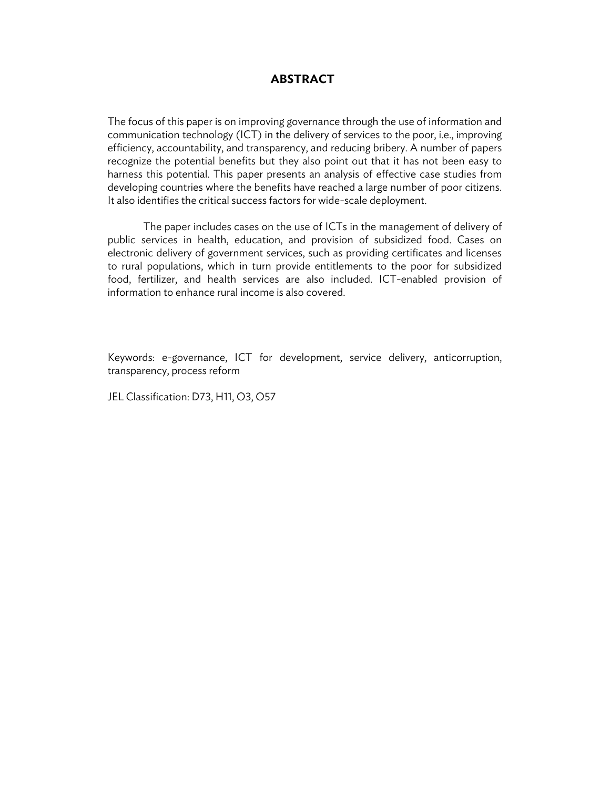#### **ABSTRACT**

The focus of this paper is on improving governance through the use of information and communication technology (ICT) in the delivery of services to the poor, i.e., improving efficiency, accountability, and transparency, and reducing bribery. A number of papers recognize the potential benefits but they also point out that it has not been easy to harness this potential. This paper presents an analysis of effective case studies from developing countries where the benefits have reached a large number of poor citizens. It also identifies the critical success factors for wide-scale deployment.

The paper includes cases on the use of ICTs in the management of delivery of public services in health, education, and provision of subsidized food. Cases on electronic delivery of government services, such as providing certificates and licenses to rural populations, which in turn provide entitlements to the poor for subsidized food, fertilizer, and health services are also included. ICT-enabled provision of information to enhance rural income is also covered.

Keywords: e-governance, ICT for development, service delivery, anticorruption, transparency, process reform

JEL Classification: D73, H11, O3, O57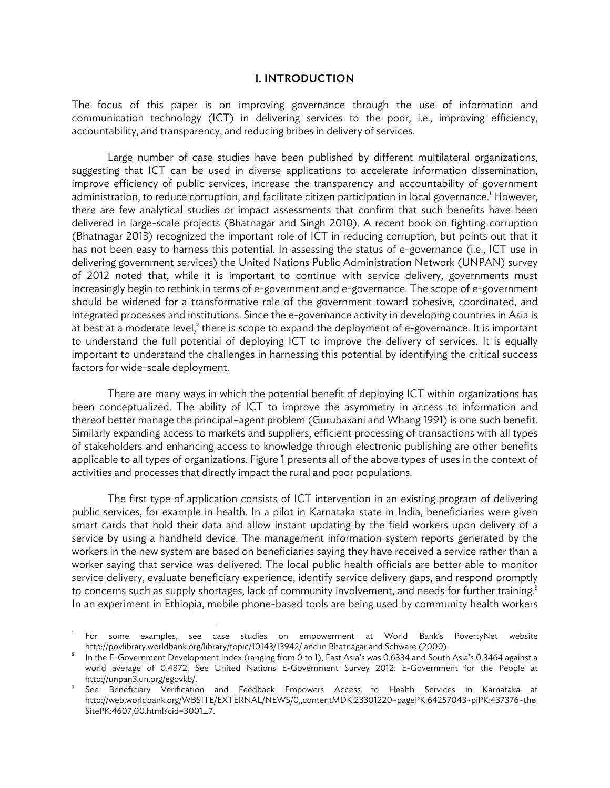#### I. INTRODUCTION

The focus of this paper is on improving governance through the use of information and communication technology (ICT) in delivering services to the poor, i.e., improving efficiency, accountability, and transparency, and reducing bribes in delivery of services.

Large number of case studies have been published by different multilateral organizations, suggesting that ICT can be used in diverse applications to accelerate information dissemination, improve efficiency of public services, increase the transparency and accountability of government administration, to reduce corruption, and facilitate citizen participation in local governance.<sup>1</sup> However, there are few analytical studies or impact assessments that confirm that such benefits have been delivered in large-scale projects (Bhatnagar and Singh 2010). A recent book on fighting corruption (Bhatnagar 2013) recognized the important role of ICT in reducing corruption, but points out that it has not been easy to harness this potential. In assessing the status of e-governance (i.e., ICT use in delivering government services) the United Nations Public Administration Network (UNPAN) survey of 2012 noted that, while it is important to continue with service delivery, governments must increasingly begin to rethink in terms of e-government and e-governance. The scope of e-government should be widened for a transformative role of the government toward cohesive, coordinated, and integrated processes and institutions. Since the e-governance activity in developing countries in Asia is at best at a moderate level, $^2$  there is scope to expand the deployment of e-governance. It is important to understand the full potential of deploying ICT to improve the delivery of services. It is equally important to understand the challenges in harnessing this potential by identifying the critical success factors for wide-scale deployment.

There are many ways in which the potential benefit of deploying ICT within organizations has been conceptualized. The ability of ICT to improve the asymmetry in access to information and thereof better manage the principal–agent problem (Gurubaxani and Whang 1991) is one such benefit. Similarly expanding access to markets and suppliers, efficient processing of transactions with all types of stakeholders and enhancing access to knowledge through electronic publishing are other benefits applicable to all types of organizations. Figure 1 presents all of the above types of uses in the context of activities and processes that directly impact the rural and poor populations.

The first type of application consists of ICT intervention in an existing program of delivering public services, for example in health. In a pilot in Karnataka state in India, beneficiaries were given smart cards that hold their data and allow instant updating by the field workers upon delivery of a service by using a handheld device. The management information system reports generated by the workers in the new system are based on beneficiaries saying they have received a service rather than a worker saying that service was delivered. The local public health officials are better able to monitor service delivery, evaluate beneficiary experience, identify service delivery gaps, and respond promptly to concerns such as supply shortages, lack of community involvement, and needs for further training.<sup>3</sup> In an experiment in Ethiopia, mobile phone-based tools are being used by community health workers

<sup>1</sup> For some examples, see case studies on empowerment at World Bank's PovertyNet website http://povlibrary.worldbank.org/library/topic/10143/13942/ and in Bhatnagar and Schware (2000). 2

In the E-Government Development Index (ranging from 0 to 1), East Asia's was 0.6334 and South Asia's 0.3464 against a world average of 0.4872. See United Nations E-Government Survey 2012: E-Government for the People at http://unpan3.un.org/egovkb/. 3

See Beneficiary Verification and Feedback Empowers Access to Health Services in Karnataka at http://web.worldbank.org/WBSITE/EXTERNAL/NEWS/0,,contentMDK:23301220~pagePK:64257043~piPK:437376~the SitePK:4607,00.html?cid=3001\_7.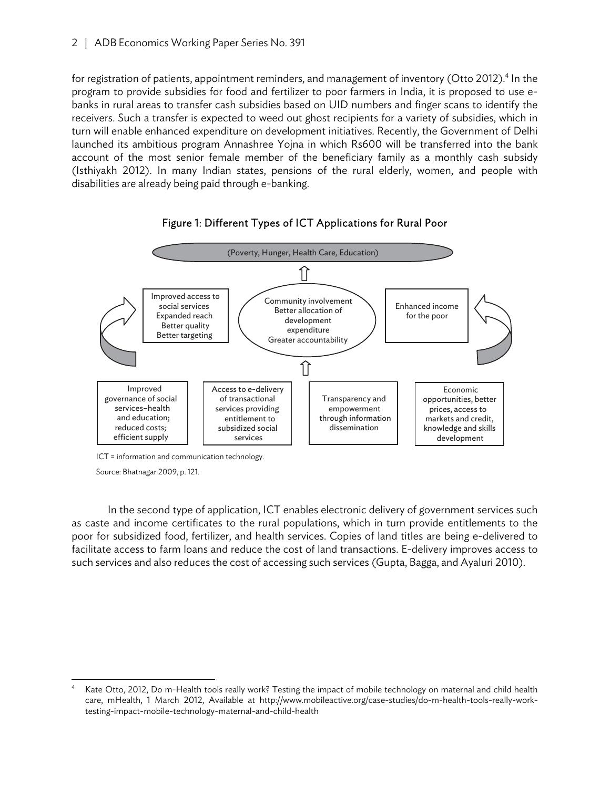for registration of patients, appointment reminders, and management of inventory (Otto 2012).<sup>4</sup> In the program to provide subsidies for food and fertilizer to poor farmers in India, it is proposed to use ebanks in rural areas to transfer cash subsidies based on UID numbers and finger scans to identify the receivers. Such a transfer is expected to weed out ghost recipients for a variety of subsidies, which in turn will enable enhanced expenditure on development initiatives. Recently, the Government of Delhi launched its ambitious program Annashree Yojna in which Rs600 will be transferred into the bank account of the most senior female member of the beneficiary family as a monthly cash subsidy (Isthiyakh 2012). In many Indian states, pensions of the rural elderly, women, and people with disabilities are already being paid through e-banking.



#### Figure 1: Different Types of ICT Applications for Rural Poor

ICT = information and communication technology.

Source: Bhatnagar 2009, p. 121.

In the second type of application, ICT enables electronic delivery of government services such as caste and income certificates to the rural populations, which in turn provide entitlements to the poor for subsidized food, fertilizer, and health services. Copies of land titles are being e-delivered to facilitate access to farm loans and reduce the cost of land transactions. E-delivery improves access to such services and also reduces the cost of accessing such services (Gupta, Bagga, and Ayaluri 2010).

 4 Kate Otto, 2012, Do m-Health tools really work? Testing the impact of mobile technology on maternal and child health care, mHealth, 1 March 2012, Available at http://www.mobileactive.org/case-studies/do-m-health-tools-really-worktesting-impact-mobile-technology-maternal-and-child-health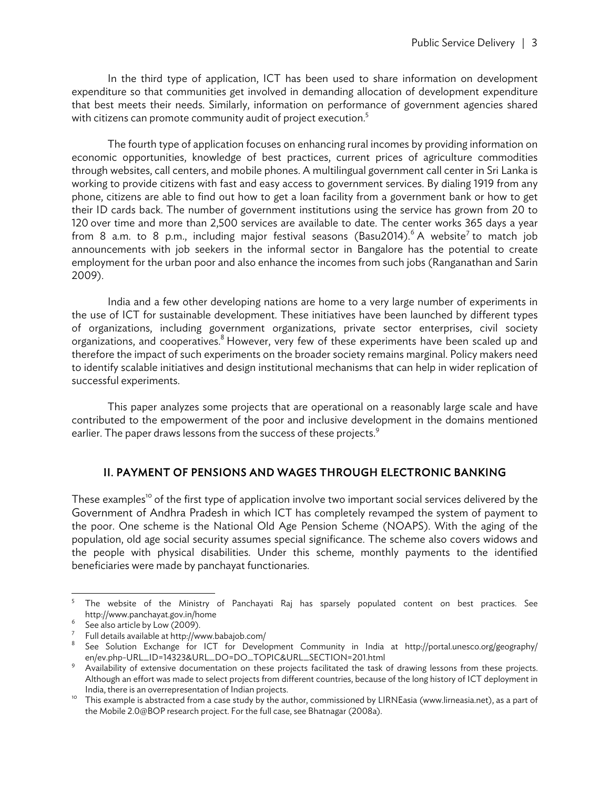In the third type of application, ICT has been used to share information on development expenditure so that communities get involved in demanding allocation of development expenditure that best meets their needs. Similarly, information on performance of government agencies shared with citizens can promote community audit of project execution.<sup>5</sup>

The fourth type of application focuses on enhancing rural incomes by providing information on economic opportunities, knowledge of best practices, current prices of agriculture commodities through websites, call centers, and mobile phones. A multilingual government call center in Sri Lanka is working to provide citizens with fast and easy access to government services. By dialing 1919 from any phone, citizens are able to find out how to get a loan facility from a government bank or how to get their ID cards back. The number of government institutions using the service has grown from 20 to 120 over time and more than 2,500 services are available to date. The center works 365 days a year from 8 a.m. to 8 p.m., including major festival seasons (Basu2014). $6$  A website<sup>7</sup> to match job announcements with job seekers in the informal sector in Bangalore has the potential to create employment for the urban poor and also enhance the incomes from such jobs (Ranganathan and Sarin 2009).

India and a few other developing nations are home to a very large number of experiments in the use of ICT for sustainable development. These initiatives have been launched by different types of organizations, including government organizations, private sector enterprises, civil society organizations, and cooperatives. $^8$  However, very few of these experiments have been scaled up and therefore the impact of such experiments on the broader society remains marginal. Policy makers need to identify scalable initiatives and design institutional mechanisms that can help in wider replication of successful experiments.

This paper analyzes some projects that are operational on a reasonably large scale and have contributed to the empowerment of the poor and inclusive development in the domains mentioned earlier. The paper draws lessons from the success of these projects.<sup>9</sup>

#### II. PAYMENT OF PENSIONS AND WAGES THROUGH ELECTRONIC BANKING

These examples<sup>10</sup> of the first type of application involve two important social services delivered by the Government of Andhra Pradesh in which ICT has completely revamped the system of payment to the poor. One scheme is the National Old Age Pension Scheme (NOAPS). With the aging of the population, old age social security assumes special significance. The scheme also covers widows and the people with physical disabilities. Under this scheme, monthly payments to the identified beneficiaries were made by panchayat functionaries.

<sup>-&</sup>lt;br>5 The website of the Ministry of Panchayati Raj has sparsely populated content on best practices. See http://www.panchayat.gov.in/home 6

 $6$  See also article by Low (2009).

 $7$  Full details available at http://www.babajob.com/

<sup>8</sup> See Solution Exchange for ICT for Development Community in India at http://portal.unesco.org/geography/ en/ev.php-URL\_ID=14323&URL\_DO=DO\_TOPIC&URL\_SECTION=201.html 9

Availability of extensive documentation on these projects facilitated the task of drawing lessons from these projects. Although an effort was made to select projects from different countries, because of the long history of ICT deployment in<br>India, there is an overrepresentation of Indian projects.

<sup>&</sup>lt;sup>10</sup> This example is abstracted from a case study by the author, commissioned by LIRNEasia (www.lirneasia.net), as a part of the Mobile 2.0@BOP research project. For the full case, see Bhatnagar (2008a).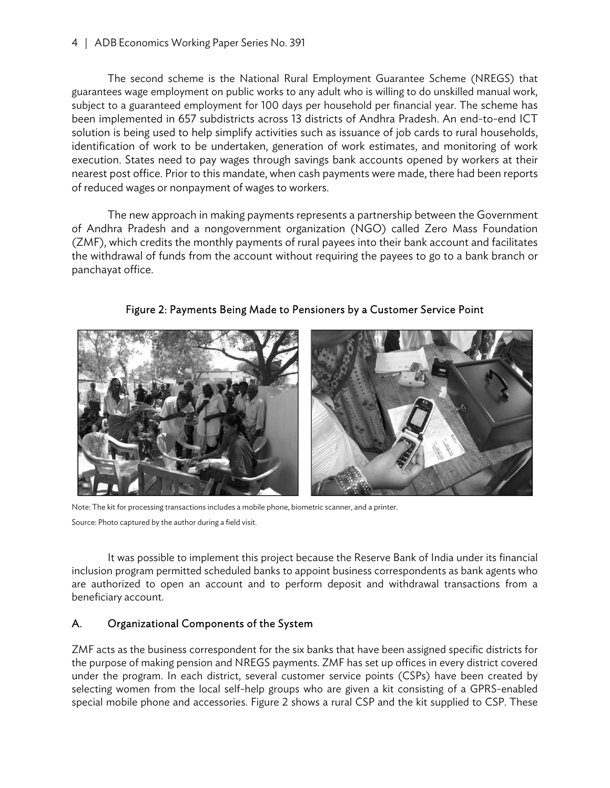The second scheme is the National Rural Employment Guarantee Scheme (NREGS) that guarantees wage employment on public works to any adult who is willing to do unskilled manual work, subject to a guaranteed employment for 100 days per household per financial year. The scheme has been implemented in 657 subdistricts across 13 districts of Andhra Pradesh. An end-to-end ICT solution is being used to help simplify activities such as issuance of job cards to rural households, identification of work to be undertaken, generation of work estimates, and monitoring of work execution. States need to pay wages through savings bank accounts opened by workers at their nearest post office. Prior to this mandate, when cash payments were made, there had been reports of reduced wages or nonpayment of wages to workers.

The new approach in making payments represents a partnership between the Government of Andhra Pradesh and a nongovernment organization (NGO) called Zero Mass Foundation (ZMF), which credits the monthly payments of rural payees into their bank account and facilitates the withdrawal of funds from the account without requiring the payees to go to a bank branch or panchayat office.

Figure 2: Payments Being Made to Pensioners by a Customer Service Point



Note: The kit for processing transactions includes a mobile phone, biometric scanner, and a printer. Source: Photo captured by the author during a field visit.

It was possible to implement this project because the Reserve Bank of India under its financial inclusion program permitted scheduled banks to appoint business correspondents as bank agents who are authorized to open an account and to perform deposit and withdrawal transactions from a beneficiary account.

#### A. Organizational Components of the System

ZMF acts as the business correspondent for the six banks that have been assigned specific districts for the purpose of making pension and NREGS payments. ZMF has set up offices in every district covered under the program. In each district, several customer service points (CSPs) have been created by selecting women from the local self-help groups who are given a kit consisting of a GPRS-enabled special mobile phone and accessories. Figure 2 shows a rural CSP and the kit supplied to CSP. These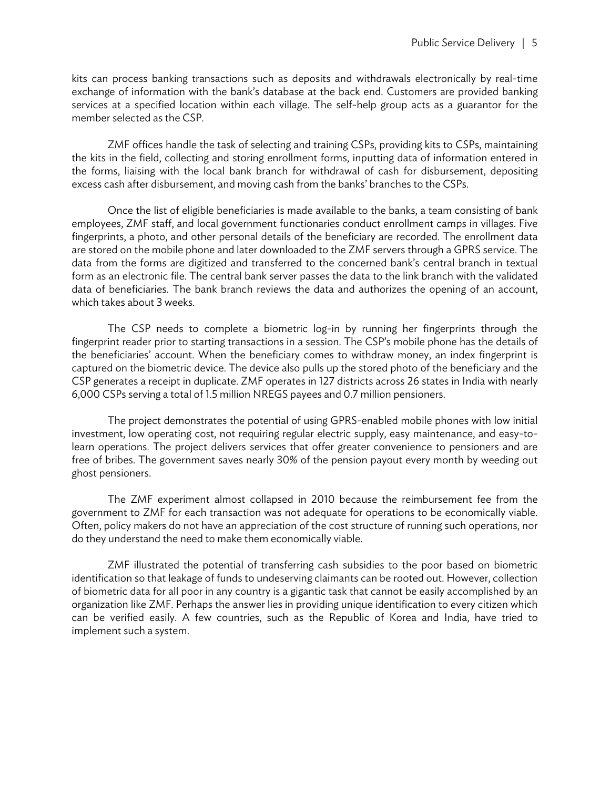kits can process banking transactions such as deposits and withdrawals electronically by real-time exchange of information with the bank's database at the back end. Customers are provided banking services at a specified location within each village. The self-help group acts as a guarantor for the member selected as the CSP.

ZMF offices handle the task of selecting and training CSPs, providing kits to CSPs, maintaining the kits in the field, collecting and storing enrollment forms, inputting data of information entered in the forms, liaising with the local bank branch for withdrawal of cash for disbursement, depositing excess cash after disbursement, and moving cash from the banks' branches to the CSPs.

Once the list of eligible beneficiaries is made available to the banks, a team consisting of bank employees, ZMF staff, and local government functionaries conduct enrollment camps in villages. Five fingerprints, a photo, and other personal details of the beneficiary are recorded. The enrollment data are stored on the mobile phone and later downloaded to the ZMF servers through a GPRS service. The data from the forms are digitized and transferred to the concerned bank's central branch in textual form as an electronic file. The central bank server passes the data to the link branch with the validated data of beneficiaries. The bank branch reviews the data and authorizes the opening of an account, which takes about 3 weeks.

The CSP needs to complete a biometric log-in by running her fingerprints through the fingerprint reader prior to starting transactions in a session. The CSP's mobile phone has the details of the beneficiaries' account. When the beneficiary comes to withdraw money, an index fingerprint is captured on the biometric device. The device also pulls up the stored photo of the beneficiary and the CSP generates a receipt in duplicate. ZMF operates in 127 districts across 26 states in India with nearly 6,000 CSPs serving a total of 1.5 million NREGS payees and 0.7 million pensioners.

The project demonstrates the potential of using GPRS-enabled mobile phones with low initial investment, low operating cost, not requiring regular electric supply, easy maintenance, and easy-tolearn operations. The project delivers services that offer greater convenience to pensioners and are free of bribes. The government saves nearly 30% of the pension payout every month by weeding out ghost pensioners.

The ZMF experiment almost collapsed in 2010 because the reimbursement fee from the government to ZMF for each transaction was not adequate for operations to be economically viable. Often, policy makers do not have an appreciation of the cost structure of running such operations, nor do they understand the need to make them economically viable.

ZMF illustrated the potential of transferring cash subsidies to the poor based on biometric identification so that leakage of funds to undeserving claimants can be rooted out. However, collection of biometric data for all poor in any country is a gigantic task that cannot be easily accomplished by an organization like ZMF. Perhaps the answer lies in providing unique identification to every citizen which can be verified easily. A few countries, such as the Republic of Korea and India, have tried to implement such a system.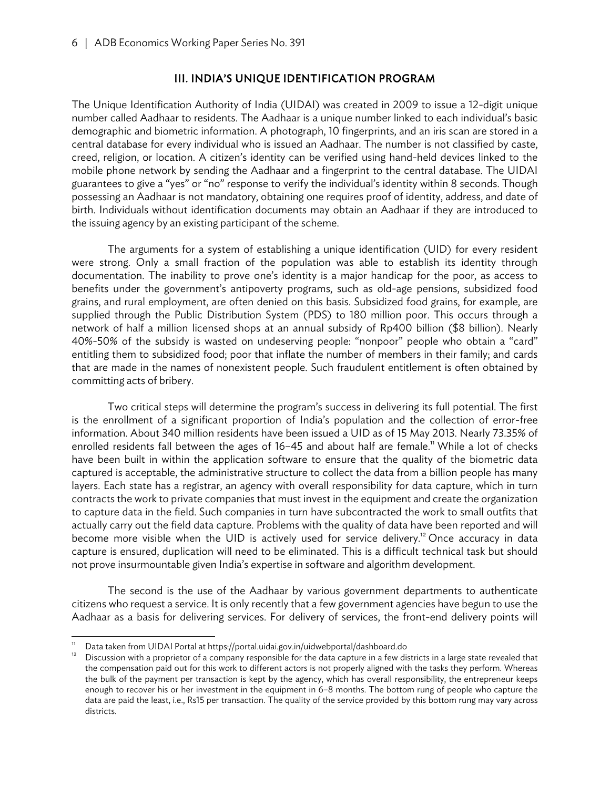#### III. INDIA'S UNIQUE IDENTIFICATION PROGRAM

The Unique Identification Authority of India (UIDAI) was created in 2009 to issue a 12-digit unique number called Aadhaar to residents. The Aadhaar is a unique number linked to each individual's basic demographic and biometric information. A photograph, 10 fingerprints, and an iris scan are stored in a central database for every individual who is issued an Aadhaar. The number is not classified by caste, creed, religion, or location. A citizen's identity can be verified using hand-held devices linked to the mobile phone network by sending the Aadhaar and a fingerprint to the central database. The UIDAI guarantees to give a "yes" or "no" response to verify the individual's identity within 8 seconds. Though possessing an Aadhaar is not mandatory, obtaining one requires proof of identity, address, and date of birth. Individuals without identification documents may obtain an Aadhaar if they are introduced to the issuing agency by an existing participant of the scheme.

The arguments for a system of establishing a unique identification (UID) for every resident were strong. Only a small fraction of the population was able to establish its identity through documentation. The inability to prove one's identity is a major handicap for the poor, as access to benefits under the government's antipoverty programs, such as old-age pensions, subsidized food grains, and rural employment, are often denied on this basis. Subsidized food grains, for example, are supplied through the Public Distribution System (PDS) to 180 million poor. This occurs through a network of half a million licensed shops at an annual subsidy of Rp400 billion (\$8 billion). Nearly 40%-50% of the subsidy is wasted on undeserving people: "nonpoor" people who obtain a "card" entitling them to subsidized food; poor that inflate the number of members in their family; and cards that are made in the names of nonexistent people. Such fraudulent entitlement is often obtained by committing acts of bribery.

Two critical steps will determine the program's success in delivering its full potential. The first is the enrollment of a significant proportion of India's population and the collection of error-free information. About 340 million residents have been issued a UID as of 15 May 2013. Nearly 73.35% of enrolled residents fall between the ages of 16-45 and about half are female.<sup>11</sup> While a lot of checks have been built in within the application software to ensure that the quality of the biometric data captured is acceptable, the administrative structure to collect the data from a billion people has many layers. Each state has a registrar, an agency with overall responsibility for data capture, which in turn contracts the work to private companies that must invest in the equipment and create the organization to capture data in the field. Such companies in turn have subcontracted the work to small outfits that actually carry out the field data capture. Problems with the quality of data have been reported and will become more visible when the UID is actively used for service delivery.<sup>12</sup> Once accuracy in data capture is ensured, duplication will need to be eliminated. This is a difficult technical task but should not prove insurmountable given India's expertise in software and algorithm development.

The second is the use of the Aadhaar by various government departments to authenticate citizens who request a service. It is only recently that a few government agencies have begun to use the Aadhaar as a basis for delivering services. For delivery of services, the front-end delivery points will

Data taken from UIDAI Portal at https://portal.uidai.gov.in/uidwebportal/dashboard.do<br>Discussion with a proprietor of a company responsible for the data capture in a few districts in a large state revealed that the compensation paid out for this work to different actors is not properly aligned with the tasks they perform. Whereas the bulk of the payment per transaction is kept by the agency, which has overall responsibility, the entrepreneur keeps enough to recover his or her investment in the equipment in 6–8 months. The bottom rung of people who capture the data are paid the least, i.e., Rs15 per transaction. The quality of the service provided by this bottom rung may vary across districts.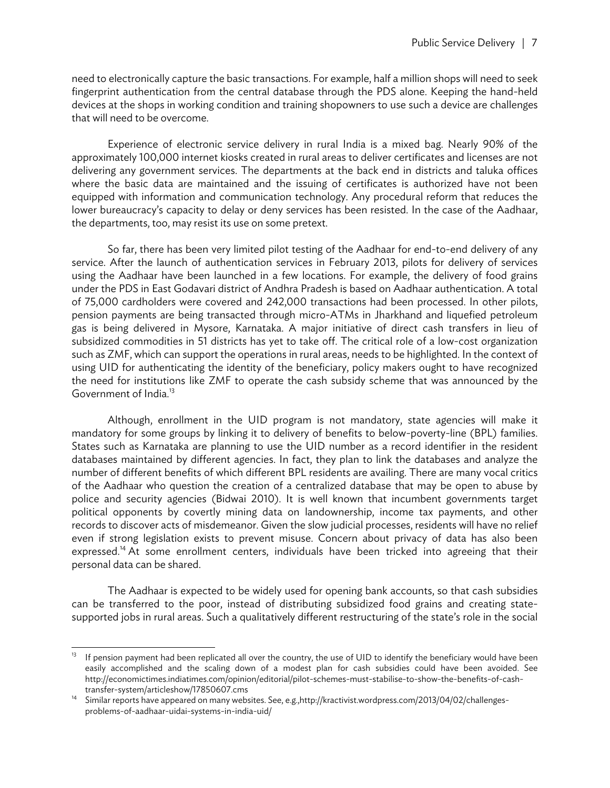need to electronically capture the basic transactions. For example, half a million shops will need to seek fingerprint authentication from the central database through the PDS alone. Keeping the hand-held devices at the shops in working condition and training shopowners to use such a device are challenges that will need to be overcome.

Experience of electronic service delivery in rural India is a mixed bag. Nearly 90% of the approximately 100,000 internet kiosks created in rural areas to deliver certificates and licenses are not delivering any government services. The departments at the back end in districts and taluka offices where the basic data are maintained and the issuing of certificates is authorized have not been equipped with information and communication technology. Any procedural reform that reduces the lower bureaucracy's capacity to delay or deny services has been resisted. In the case of the Aadhaar, the departments, too, may resist its use on some pretext.

So far, there has been very limited pilot testing of the Aadhaar for end-to-end delivery of any service. After the launch of authentication services in February 2013, pilots for delivery of services using the Aadhaar have been launched in a few locations. For example, the delivery of food grains under the PDS in East Godavari district of Andhra Pradesh is based on Aadhaar authentication. A total of 75,000 cardholders were covered and 242,000 transactions had been processed. In other pilots, pension payments are being transacted through micro-ATMs in Jharkhand and liquefied petroleum gas is being delivered in Mysore, Karnataka. A major initiative of direct cash transfers in lieu of subsidized commodities in 51 districts has yet to take off. The critical role of a low-cost organization such as ZMF, which can support the operations in rural areas, needs to be highlighted. In the context of using UID for authenticating the identity of the beneficiary, policy makers ought to have recognized the need for institutions like ZMF to operate the cash subsidy scheme that was announced by the Government of India.<sup>13</sup>

Although, enrollment in the UID program is not mandatory, state agencies will make it mandatory for some groups by linking it to delivery of benefits to below-poverty-line (BPL) families. States such as Karnataka are planning to use the UID number as a record identifier in the resident databases maintained by different agencies. In fact, they plan to link the databases and analyze the number of different benefits of which different BPL residents are availing. There are many vocal critics of the Aadhaar who question the creation of a centralized database that may be open to abuse by police and security agencies (Bidwai 2010). It is well known that incumbent governments target political opponents by covertly mining data on landownership, income tax payments, and other records to discover acts of misdemeanor. Given the slow judicial processes, residents will have no relief even if strong legislation exists to prevent misuse. Concern about privacy of data has also been expressed.<sup>14</sup> At some enrollment centers, individuals have been tricked into agreeing that their personal data can be shared.

The Aadhaar is expected to be widely used for opening bank accounts, so that cash subsidies can be transferred to the poor, instead of distributing subsidized food grains and creating statesupported jobs in rural areas. Such a qualitatively different restructuring of the state's role in the social

 $13$ If pension payment had been replicated all over the country, the use of UID to identify the beneficiary would have been easily accomplished and the scaling down of a modest plan for cash subsidies could have been avoided. See http://economictimes.indiatimes.com/opinion/editorial/pilot-schemes-must-stabilise-to-show-the-benefits-of-cash-

transfer-system/articleshow/17850607.cms<br>Similar reports have appeared on many websites. See, e.g.,http://kractivist.wordpress.com/2013/04/02/challengesproblems-of-aadhaar-uidai-systems-in-india-uid/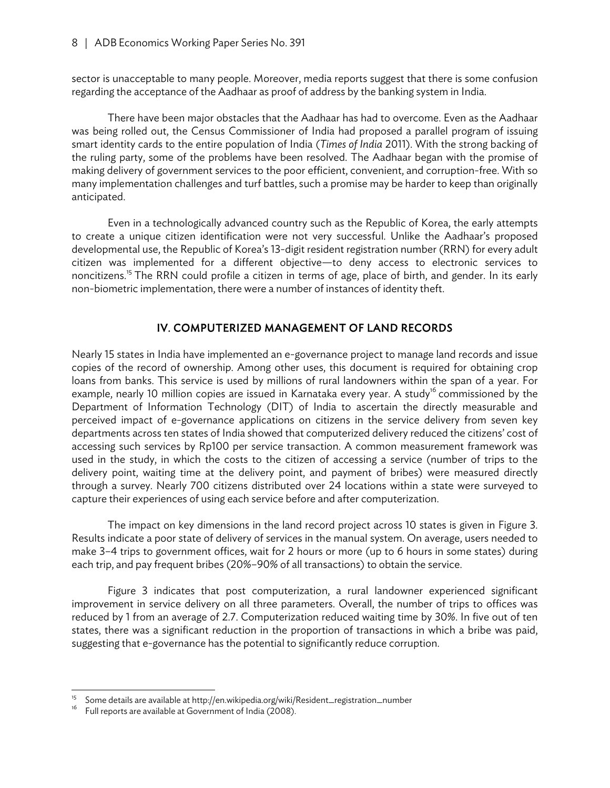sector is unacceptable to many people. Moreover, media reports suggest that there is some confusion regarding the acceptance of the Aadhaar as proof of address by the banking system in India.

There have been major obstacles that the Aadhaar has had to overcome. Even as the Aadhaar was being rolled out, the Census Commissioner of India had proposed a parallel program of issuing smart identity cards to the entire population of India (*Times of India* 2011). With the strong backing of the ruling party, some of the problems have been resolved. The Aadhaar began with the promise of making delivery of government services to the poor efficient, convenient, and corruption-free. With so many implementation challenges and turf battles, such a promise may be harder to keep than originally anticipated.

Even in a technologically advanced country such as the Republic of Korea, the early attempts to create a unique citizen identification were not very successful. Unlike the Aadhaar's proposed developmental use, the Republic of Korea's 13-digit resident registration number (RRN) for every adult citizen was implemented for a different objective—to deny access to electronic services to noncitizens.<sup>15</sup> The RRN could profile a citizen in terms of age, place of birth, and gender. In its early non-biometric implementation, there were a number of instances of identity theft.

#### IV. COMPUTERIZED MANAGEMENT OF LAND RECORDS

Nearly 15 states in India have implemented an e-governance project to manage land records and issue copies of the record of ownership. Among other uses, this document is required for obtaining crop loans from banks. This service is used by millions of rural landowners within the span of a year. For example, nearly 10 million copies are issued in Karnataka every year. A study<sup>16</sup> commissioned by the Department of Information Technology (DIT) of India to ascertain the directly measurable and perceived impact of e-governance applications on citizens in the service delivery from seven key departments across ten states of India showed that computerized delivery reduced the citizens' cost of accessing such services by Rp100 per service transaction. A common measurement framework was used in the study, in which the costs to the citizen of accessing a service (number of trips to the delivery point, waiting time at the delivery point, and payment of bribes) were measured directly through a survey. Nearly 700 citizens distributed over 24 locations within a state were surveyed to capture their experiences of using each service before and after computerization.

The impact on key dimensions in the land record project across 10 states is given in Figure 3. Results indicate a poor state of delivery of services in the manual system. On average, users needed to make 3–4 trips to government offices, wait for 2 hours or more (up to 6 hours in some states) during each trip, and pay frequent bribes (20%–90% of all transactions) to obtain the service.

Figure 3 indicates that post computerization, a rural landowner experienced significant improvement in service delivery on all three parameters. Overall, the number of trips to offices was reduced by 1 from an average of 2.7. Computerization reduced waiting time by 30%. In five out of ten states, there was a significant reduction in the proportion of transactions in which a bribe was paid, suggesting that e-governance has the potential to significantly reduce corruption.

Some details are available at http://en.wikipedia.org/wiki/Resident\_registration\_number Full reports are available at Government of India (2008).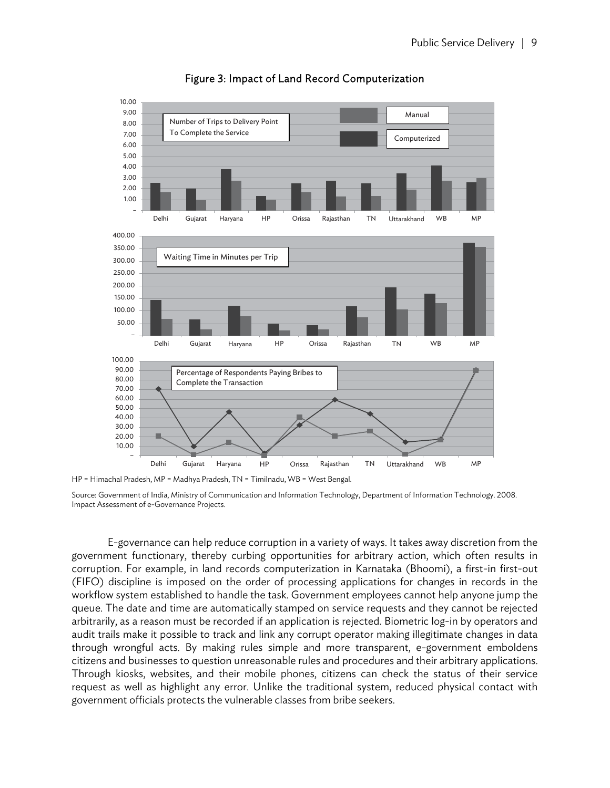

Figure 3: Impact of Land Record Computerization

HP = Himachal Pradesh, MP = Madhya Pradesh, TN = Timilnadu, WB = West Bengal.

Source: Government of India, Ministry of Communication and Information Technology, Department of Information Technology. 2008. Impact Assessment of e-Governance Projects.

E-governance can help reduce corruption in a variety of ways. It takes away discretion from the government functionary, thereby curbing opportunities for arbitrary action, which often results in corruption. For example, in land records computerization in Karnataka (Bhoomi), a first-in first-out (FIFO) discipline is imposed on the order of processing applications for changes in records in the workflow system established to handle the task. Government employees cannot help anyone jump the queue. The date and time are automatically stamped on service requests and they cannot be rejected arbitrarily, as a reason must be recorded if an application is rejected. Biometric log-in by operators and audit trails make it possible to track and link any corrupt operator making illegitimate changes in data through wrongful acts. By making rules simple and more transparent, e-government emboldens citizens and businesses to question unreasonable rules and procedures and their arbitrary applications. Through kiosks, websites, and their mobile phones, citizens can check the status of their service request as well as highlight any error. Unlike the traditional system, reduced physical contact with government officials protects the vulnerable classes from bribe seekers.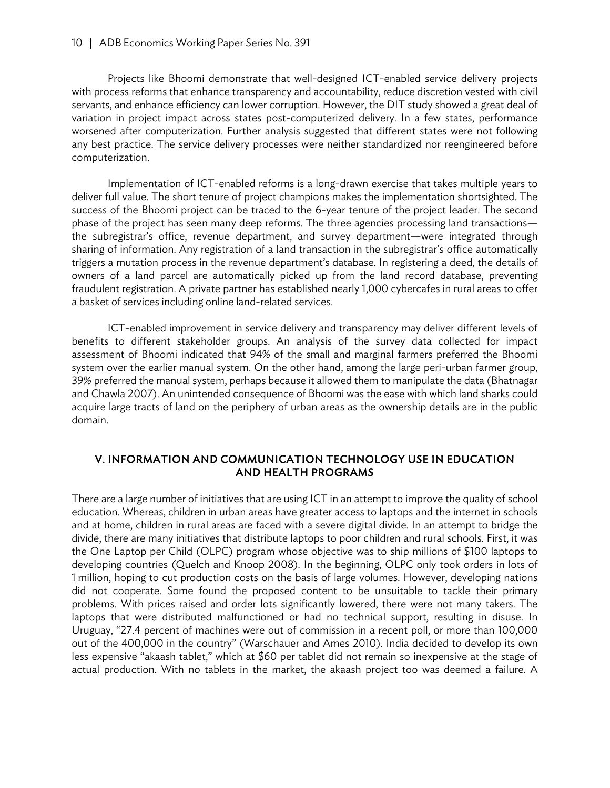#### 10 | ADB Economics Working Paper Series No. 391

Projects like Bhoomi demonstrate that well-designed ICT-enabled service delivery projects with process reforms that enhance transparency and accountability, reduce discretion vested with civil servants, and enhance efficiency can lower corruption. However, the DIT study showed a great deal of variation in project impact across states post-computerized delivery. In a few states, performance worsened after computerization. Further analysis suggested that different states were not following any best practice. The service delivery processes were neither standardized nor reengineered before computerization.

Implementation of ICT-enabled reforms is a long-drawn exercise that takes multiple years to deliver full value. The short tenure of project champions makes the implementation shortsighted. The success of the Bhoomi project can be traced to the 6-year tenure of the project leader. The second phase of the project has seen many deep reforms. The three agencies processing land transactions the subregistrar's office, revenue department, and survey department—were integrated through sharing of information. Any registration of a land transaction in the subregistrar's office automatically triggers a mutation process in the revenue department's database. In registering a deed, the details of owners of a land parcel are automatically picked up from the land record database, preventing fraudulent registration. A private partner has established nearly 1,000 cybercafes in rural areas to offer a basket of services including online land-related services.

ICT-enabled improvement in service delivery and transparency may deliver different levels of benefits to different stakeholder groups. An analysis of the survey data collected for impact assessment of Bhoomi indicated that 94% of the small and marginal farmers preferred the Bhoomi system over the earlier manual system. On the other hand, among the large peri-urban farmer group, 39% preferred the manual system, perhaps because it allowed them to manipulate the data (Bhatnagar and Chawla 2007). An unintended consequence of Bhoomi was the ease with which land sharks could acquire large tracts of land on the periphery of urban areas as the ownership details are in the public domain.

#### V. INFORMATION AND COMMUNICATION TECHNOLOGY USE IN EDUCATION AND HEALTH PROGRAMS

There are a large number of initiatives that are using ICT in an attempt to improve the quality of school education. Whereas, children in urban areas have greater access to laptops and the internet in schools and at home, children in rural areas are faced with a severe digital divide. In an attempt to bridge the divide, there are many initiatives that distribute laptops to poor children and rural schools. First, it was the One Laptop per Child (OLPC) program whose objective was to ship millions of \$100 laptops to developing countries (Quelch and Knoop 2008). In the beginning, OLPC only took orders in lots of 1 million, hoping to cut production costs on the basis of large volumes. However, developing nations did not cooperate. Some found the proposed content to be unsuitable to tackle their primary problems. With prices raised and order lots significantly lowered, there were not many takers. The laptops that were distributed malfunctioned or had no technical support, resulting in disuse. In Uruguay, "27.4 percent of machines were out of commission in a recent poll, or more than 100,000 out of the 400,000 in the country" (Warschauer and Ames 2010). India decided to develop its own less expensive "akaash tablet," which at \$60 per tablet did not remain so inexpensive at the stage of actual production. With no tablets in the market, the akaash project too was deemed a failure. A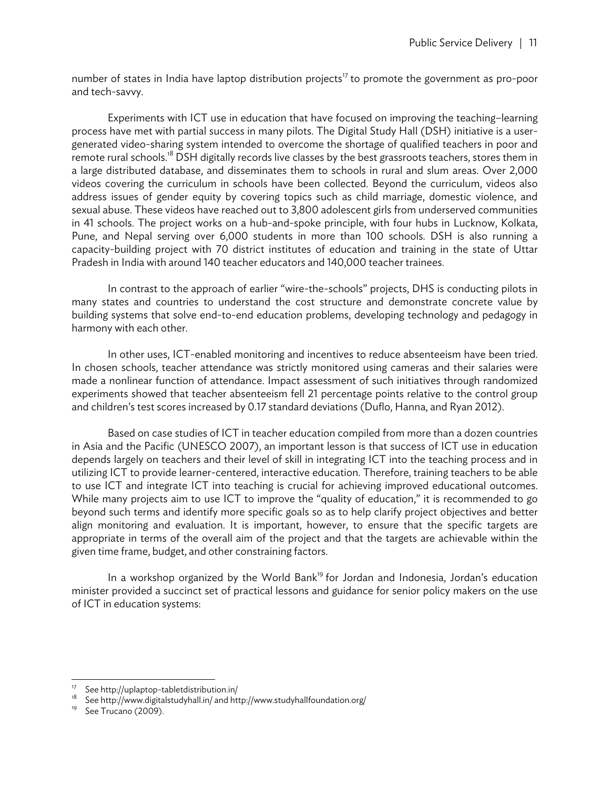number of states in India have laptop distribution projects<sup>17</sup> to promote the government as pro-poor and tech-savvy.

Experiments with ICT use in education that have focused on improving the teaching–learning process have met with partial success in many pilots. The Digital Study Hall (DSH) initiative is a usergenerated video-sharing system intended to overcome the shortage of qualified teachers in poor and remote rural schools.<sup>18</sup> DSH digitally records live classes by the best grassroots teachers, stores them in a large distributed database, and disseminates them to schools in rural and slum areas. Over 2,000 videos covering the curriculum in schools have been collected. Beyond the curriculum, videos also address issues of gender equity by covering topics such as child marriage, domestic violence, and sexual abuse. These videos have reached out to 3,800 adolescent girls from underserved communities in 41 schools. The project works on a hub-and-spoke principle, with four hubs in Lucknow, Kolkata, Pune, and Nepal serving over 6,000 students in more than 100 schools. DSH is also running a capacity-building project with 70 district institutes of education and training in the state of Uttar Pradesh in India with around 140 teacher educators and 140,000 teacher trainees.

In contrast to the approach of earlier "wire-the-schools" projects, DHS is conducting pilots in many states and countries to understand the cost structure and demonstrate concrete value by building systems that solve end-to-end education problems, developing technology and pedagogy in harmony with each other.

In other uses, ICT-enabled monitoring and incentives to reduce absenteeism have been tried. In chosen schools, teacher attendance was strictly monitored using cameras and their salaries were made a nonlinear function of attendance. Impact assessment of such initiatives through randomized experiments showed that teacher absenteeism fell 21 percentage points relative to the control group and children's test scores increased by 0.17 standard deviations (Duflo, Hanna, and Ryan 2012).

Based on case studies of ICT in teacher education compiled from more than a dozen countries in Asia and the Pacific (UNESCO 2007), an important lesson is that success of ICT use in education depends largely on teachers and their level of skill in integrating ICT into the teaching process and in utilizing ICT to provide learner-centered, interactive education. Therefore, training teachers to be able to use ICT and integrate ICT into teaching is crucial for achieving improved educational outcomes. While many projects aim to use ICT to improve the "quality of education," it is recommended to go beyond such terms and identify more specific goals so as to help clarify project objectives and better align monitoring and evaluation. It is important, however, to ensure that the specific targets are appropriate in terms of the overall aim of the project and that the targets are achievable within the given time frame, budget, and other constraining factors.

In a workshop organized by the World Bank<sup>19</sup> for Jordan and Indonesia, Jordan's education minister provided a succinct set of practical lessons and guidance for senior policy makers on the use of ICT in education systems:

<sup>&</sup>lt;sup>17</sup> See http://uplaptop-tabletdistribution.in/<br><sup>18</sup> See http://unux.distribution.in/in/end.http:/

<sup>18</sup> See http://www.digitalstudyhall.in/ and http://www.studyhallfoundation.org/

See Trucano (2009).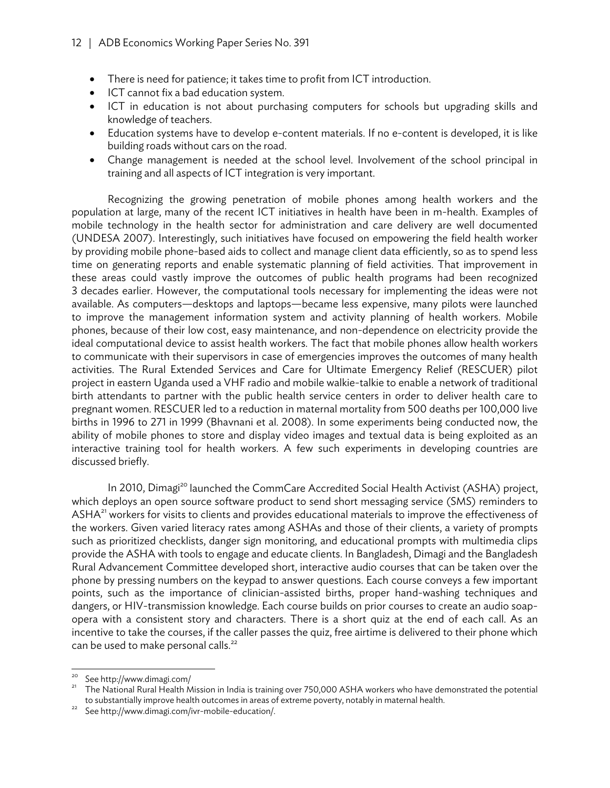- There is need for patience; it takes time to profit from ICT introduction.
- ICT cannot fix a bad education system.
- ICT in education is not about purchasing computers for schools but upgrading skills and knowledge of teachers.
- Education systems have to develop e-content materials. If no e-content is developed, it is like building roads without cars on the road.
- Change management is needed at the school level. Involvement of the school principal in training and all aspects of ICT integration is very important.

Recognizing the growing penetration of mobile phones among health workers and the population at large, many of the recent ICT initiatives in health have been in m-health. Examples of mobile technology in the health sector for administration and care delivery are well documented (UNDESA 2007). Interestingly, such initiatives have focused on empowering the field health worker by providing mobile phone-based aids to collect and manage client data efficiently, so as to spend less time on generating reports and enable systematic planning of field activities. That improvement in these areas could vastly improve the outcomes of public health programs had been recognized 3 decades earlier. However, the computational tools necessary for implementing the ideas were not available. As computers—desktops and laptops—became less expensive, many pilots were launched to improve the management information system and activity planning of health workers. Mobile phones, because of their low cost, easy maintenance, and non-dependence on electricity provide the ideal computational device to assist health workers. The fact that mobile phones allow health workers to communicate with their supervisors in case of emergencies improves the outcomes of many health activities. The Rural Extended Services and Care for Ultimate Emergency Relief (RESCUER) pilot project in eastern Uganda used a VHF radio and mobile walkie-talkie to enable a network of traditional birth attendants to partner with the public health service centers in order to deliver health care to pregnant women. RESCUER led to a reduction in maternal mortality from 500 deaths per 100,000 live births in 1996 to 271 in 1999 (Bhavnani et al. 2008). In some experiments being conducted now, the ability of mobile phones to store and display video images and textual data is being exploited as an interactive training tool for health workers. A few such experiments in developing countries are discussed briefly.

In 2010, Dimagi<sup>20</sup> launched the CommCare Accredited Social Health Activist (ASHA) project, which deploys an open source software product to send short messaging service (SMS) reminders to ASHA<sup>21</sup> workers for visits to clients and provides educational materials to improve the effectiveness of the workers. Given varied literacy rates among ASHAs and those of their clients, a variety of prompts such as prioritized checklists, danger sign monitoring, and educational prompts with multimedia clips provide the ASHA with tools to engage and educate clients. In Bangladesh, Dimagi and the Bangladesh Rural Advancement Committee developed short, interactive audio courses that can be taken over the phone by pressing numbers on the keypad to answer questions. Each course conveys a few important points, such as the importance of clinician-assisted births, proper hand-washing techniques and dangers, or HIV-transmission knowledge. Each course builds on prior courses to create an audio soapopera with a consistent story and characters. There is a short quiz at the end of each call. As an incentive to take the courses, if the caller passes the quiz, free airtime is delivered to their phone which can be used to make personal calls.<sup>22</sup>

<sup>&</sup>lt;sup>20</sup> See http://www.dimagi.com/<br><sup>21</sup> The National Rural Health Mission in India is training over 750,000 ASHA workers who have demonstrated the potential to substantially improve health outcomes in areas of extreme poverty, notably in maternal health.<br>See http://www.dimagi.com/ivr-mobile-education/.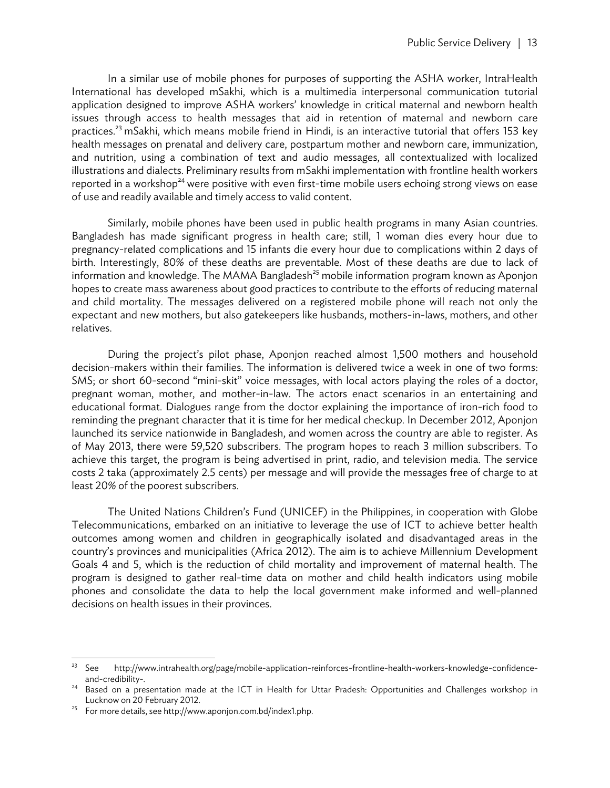In a similar use of mobile phones for purposes of supporting the ASHA worker, IntraHealth International has developed mSakhi, which is a multimedia interpersonal communication tutorial application designed to improve ASHA workers' knowledge in critical maternal and newborn health issues through access to health messages that aid in retention of maternal and newborn care practices.<sup>23</sup> mSakhi, which means mobile friend in Hindi, is an interactive tutorial that offers 153 key health messages on prenatal and delivery care, postpartum mother and newborn care, immunization, and nutrition, using a combination of text and audio messages, all contextualized with localized illustrations and dialects. Preliminary results from mSakhi implementation with frontline health workers reported in a workshop<sup>24</sup> were positive with even first-time mobile users echoing strong views on ease of use and readily available and timely access to valid content.

Similarly, mobile phones have been used in public health programs in many Asian countries. Bangladesh has made significant progress in health care; still, 1 woman dies every hour due to pregnancy-related complications and 15 infants die every hour due to complications within 2 days of birth. Interestingly, 80% of these deaths are preventable. Most of these deaths are due to lack of information and knowledge. The MAMA Bangladesh<sup>25</sup> mobile information program known as Aponjon hopes to create mass awareness about good practices to contribute to the efforts of reducing maternal and child mortality. The messages delivered on a registered mobile phone will reach not only the expectant and new mothers, but also gatekeepers like husbands, mothers-in-laws, mothers, and other relatives.

During the project's pilot phase, Aponjon reached almost 1,500 mothers and household decision-makers within their families. The information is delivered twice a week in one of two forms: SMS; or short 60-second "mini-skit" voice messages, with local actors playing the roles of a doctor, pregnant woman, mother, and mother-in-law. The actors enact scenarios in an entertaining and educational format. Dialogues range from the doctor explaining the importance of iron-rich food to reminding the pregnant character that it is time for her medical checkup. In December 2012, Aponjon launched its service nationwide in Bangladesh, and women across the country are able to register. As of May 2013, there were 59,520 subscribers. The program hopes to reach 3 million subscribers. To achieve this target, the program is being advertised in print, radio, and television media. The service costs 2 taka (approximately 2.5 cents) per message and will provide the messages free of charge to at least 20% of the poorest subscribers.

The United Nations Children's Fund (UNICEF) in the Philippines, in cooperation with Globe Telecommunications, embarked on an initiative to leverage the use of ICT to achieve better health outcomes among women and children in geographically isolated and disadvantaged areas in the country's provinces and municipalities (Africa 2012). The aim is to achieve Millennium Development Goals 4 and 5, which is the reduction of child mortality and improvement of maternal health. The program is designed to gather real-time data on mother and child health indicators using mobile phones and consolidate the data to help the local government make informed and well-planned decisions on health issues in their provinces.

 $23$  See 23 See http://www.intrahealth.org/page/mobile-application-reinforces-frontline-health-workers-knowledge-confidence-

and-credibility-.<br>Based on a presentation made at the ICT in Health for Uttar Pradesh: Opportunities and Challenges workshop in<br>Lucknow on 20 February 2012.

For more details, see http://www.aponjon.com.bd/index1.php.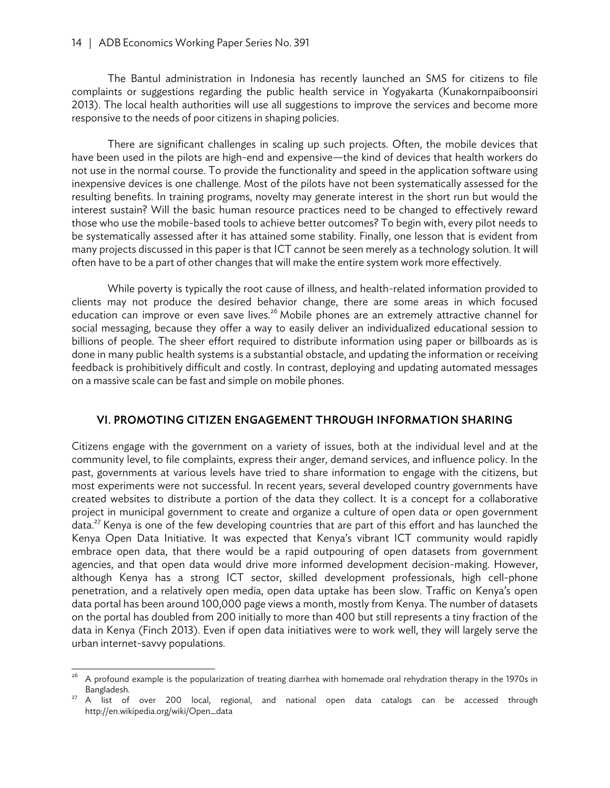#### 14 | ADB Economics Working Paper Series No. 391

The Bantul administration in Indonesia has recently launched an SMS for citizens to file complaints or suggestions regarding the public health service in Yogyakarta (Kunakornpaiboonsiri 2013). The local health authorities will use all suggestions to improve the services and become more responsive to the needs of poor citizens in shaping policies.

There are significant challenges in scaling up such projects. Often, the mobile devices that have been used in the pilots are high-end and expensive—the kind of devices that health workers do not use in the normal course. To provide the functionality and speed in the application software using inexpensive devices is one challenge. Most of the pilots have not been systematically assessed for the resulting benefits. In training programs, novelty may generate interest in the short run but would the interest sustain? Will the basic human resource practices need to be changed to effectively reward those who use the mobile-based tools to achieve better outcomes? To begin with, every pilot needs to be systematically assessed after it has attained some stability. Finally, one lesson that is evident from many projects discussed in this paper is that ICT cannot be seen merely as a technology solution. It will often have to be a part of other changes that will make the entire system work more effectively.

While poverty is typically the root cause of illness, and health-related information provided to clients may not produce the desired behavior change, there are some areas in which focused education can improve or even save lives.<sup>26</sup> Mobile phones are an extremely attractive channel for social messaging, because they offer a way to easily deliver an individualized educational session to billions of people. The sheer effort required to distribute information using paper or billboards as is done in many public health systems is a substantial obstacle, and updating the information or receiving feedback is prohibitively difficult and costly. In contrast, deploying and updating automated messages on a massive scale can be fast and simple on mobile phones.

#### VI. PROMOTING CITIZEN ENGAGEMENT THROUGH INFORMATION SHARING

Citizens engage with the government on a variety of issues, both at the individual level and at the community level, to file complaints, express their anger, demand services, and influence policy. In the past, governments at various levels have tried to share information to engage with the citizens, but most experiments were not successful. In recent years, several developed country governments have created websites to distribute a portion of the data they collect. It is a concept for a collaborative project in municipal government to create and organize a culture of open data or open government data.<sup>27</sup> Kenya is one of the few developing countries that are part of this effort and has launched the Kenya Open Data Initiative. It was expected that Kenya's vibrant ICT community would rapidly embrace open data, that there would be a rapid outpouring of open datasets from government agencies, and that open data would drive more informed development decision-making. However, although Kenya has a strong ICT sector, skilled development professionals, high cell-phone penetration, and a relatively open media, open data uptake has been slow. Traffic on Kenya's open data portal has been around 100,000 page views a month, mostly from Kenya. The number of datasets on the portal has doubled from 200 initially to more than 400 but still represents a tiny fraction of the data in Kenya (Finch 2013). Even if open data initiatives were to work well, they will largely serve the urban internet-savvy populations.

<sup>26</sup> 26 A profound example is the popularization of treating diarrhea with homemade oral rehydration therapy in the 1970s in Bangladesh.<br>A list of over 200 local, regional, and national open data catalogs can be accessed through

http://en.wikipedia.org/wiki/Open\_data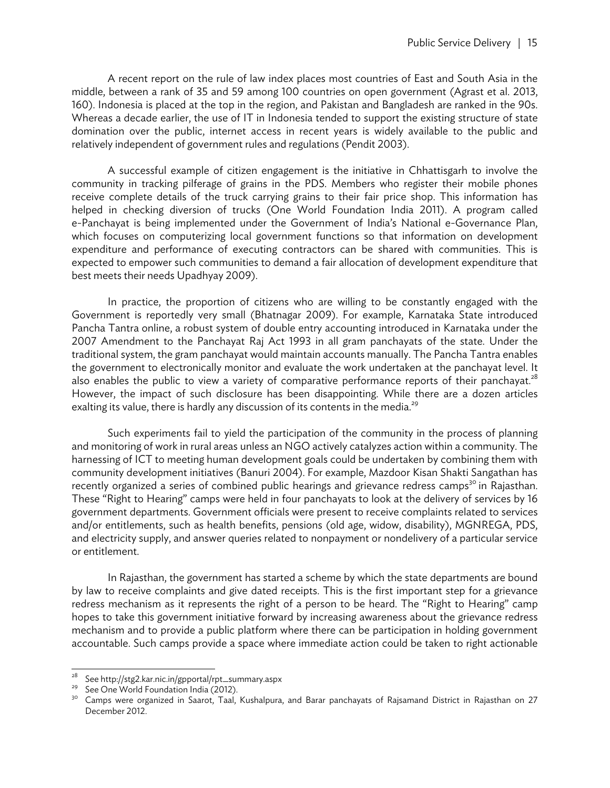A recent report on the rule of law index places most countries of East and South Asia in the middle, between a rank of 35 and 59 among 100 countries on open government (Agrast et al. 2013, 160). Indonesia is placed at the top in the region, and Pakistan and Bangladesh are ranked in the 90s. Whereas a decade earlier, the use of IT in Indonesia tended to support the existing structure of state domination over the public, internet access in recent years is widely available to the public and relatively independent of government rules and regulations (Pendit 2003).

A successful example of citizen engagement is the initiative in Chhattisgarh to involve the community in tracking pilferage of grains in the PDS. Members who register their mobile phones receive complete details of the truck carrying grains to their fair price shop. This information has helped in checking diversion of trucks (One World Foundation India 2011). A program called e-Panchayat is being implemented under the Government of India's National e-Governance Plan, which focuses on computerizing local government functions so that information on development expenditure and performance of executing contractors can be shared with communities. This is expected to empower such communities to demand a fair allocation of development expenditure that best meets their needs Upadhyay 2009).

In practice, the proportion of citizens who are willing to be constantly engaged with the Government is reportedly very small (Bhatnagar 2009). For example, Karnataka State introduced Pancha Tantra online, a robust system of double entry accounting introduced in Karnataka under the 2007 Amendment to the Panchayat Raj Act 1993 in all gram panchayats of the state. Under the traditional system, the gram panchayat would maintain accounts manually. The Pancha Tantra enables the government to electronically monitor and evaluate the work undertaken at the panchayat level. It also enables the public to view a variety of comparative performance reports of their panchayat.<sup>28</sup> However, the impact of such disclosure has been disappointing. While there are a dozen articles exalting its value, there is hardly any discussion of its contents in the media.<sup>29</sup>

Such experiments fail to yield the participation of the community in the process of planning and monitoring of work in rural areas unless an NGO actively catalyzes action within a community. The harnessing of ICT to meeting human development goals could be undertaken by combining them with community development initiatives (Banuri 2004). For example, Mazdoor Kisan Shakti Sangathan has recently organized a series of combined public hearings and grievance redress camps<sup>30</sup> in Rajasthan. These "Right to Hearing" camps were held in four panchayats to look at the delivery of services by 16 government departments. Government officials were present to receive complaints related to services and/or entitlements, such as health benefits, pensions (old age, widow, disability), MGNREGA, PDS, and electricity supply, and answer queries related to nonpayment or nondelivery of a particular service or entitlement.

In Rajasthan, the government has started a scheme by which the state departments are bound by law to receive complaints and give dated receipts. This is the first important step for a grievance redress mechanism as it represents the right of a person to be heard. The "Right to Hearing" camp hopes to take this government initiative forward by increasing awareness about the grievance redress mechanism and to provide a public platform where there can be participation in holding government accountable. Such camps provide a space where immediate action could be taken to right actionable

 $\sqrt{28}$ <sup>28</sup> See http://stg2.kar.nic.in/gpportal/rpt\_summary.aspx<br><sup>29</sup> See One World Foundation India (2012)

See One World Foundation India (2012).

<sup>30</sup> Camps were organized in Saarot, Taal, Kushalpura, and Barar panchayats of Rajsamand District in Rajasthan on 27 December 2012.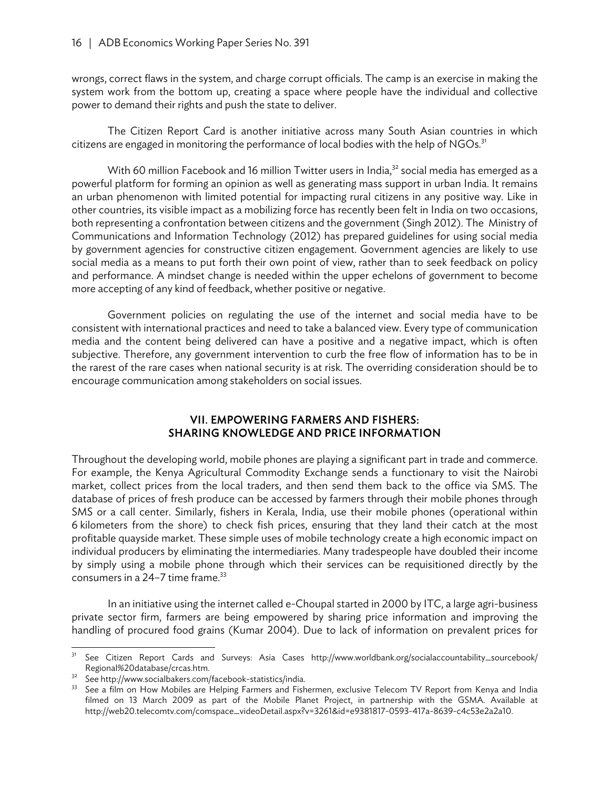wrongs, correct flaws in the system, and charge corrupt officials. The camp is an exercise in making the system work from the bottom up, creating a space where people have the individual and collective power to demand their rights and push the state to deliver.

The Citizen Report Card is another initiative across many South Asian countries in which citizens are engaged in monitoring the performance of local bodies with the help of  $NGOs.<sup>31</sup>$ 

With 60 million Facebook and 16 million Twitter users in India, $32$  social media has emerged as a powerful platform for forming an opinion as well as generating mass support in urban India. It remains an urban phenomenon with limited potential for impacting rural citizens in any positive way. Like in other countries, its visible impact as a mobilizing force has recently been felt in India on two occasions, both representing a confrontation between citizens and the government (Singh 2012). The Ministry of Communications and Information Technology (2012) has prepared guidelines for using social media by government agencies for constructive citizen engagement. Government agencies are likely to use social media as a means to put forth their own point of view, rather than to seek feedback on policy and performance. A mindset change is needed within the upper echelons of government to become more accepting of any kind of feedback, whether positive or negative.

Government policies on regulating the use of the internet and social media have to be consistent with international practices and need to take a balanced view. Every type of communication media and the content being delivered can have a positive and a negative impact, which is often subjective. Therefore, any government intervention to curb the free flow of information has to be in the rarest of the rare cases when national security is at risk. The overriding consideration should be to encourage communication among stakeholders on social issues.

#### VII. EMPOWERING FARMERS AND FISHERS: SHARING KNOWLEDGE AND PRICE INFORMATION

Throughout the developing world, mobile phones are playing a significant part in trade and commerce. For example, the Kenya Agricultural Commodity Exchange sends a functionary to visit the Nairobi market, collect prices from the local traders, and then send them back to the office via SMS. The database of prices of fresh produce can be accessed by farmers through their mobile phones through SMS or a call center. Similarly, fishers in Kerala, India, use their mobile phones (operational within 6 kilometers from the shore) to check fish prices, ensuring that they land their catch at the most profitable quayside market. These simple uses of mobile technology create a high economic impact on individual producers by eliminating the intermediaries. Many tradespeople have doubled their income by simply using a mobile phone through which their services can be requisitioned directly by the consumers in a  $24-7$  time frame.<sup>33</sup>

In an initiative using the internet called e-Choupal started in 2000 by ITC, a large agri-business private sector firm, farmers are being empowered by sharing price information and improving the handling of procured food grains (Kumar 2004). Due to lack of information on prevalent prices for

 $31$ See Citizen Report Cards and Surveys: Asia Cases http://www.worldbank.org/socialaccountability\_sourcebook/ Regional%20database/crcas.htm.<br><sup>32</sup> See http://www.socialbakers.com/facebook-statistics/india.

See a film on How Mobiles are Helping Farmers and Fishermen, exclusive Telecom TV Report from Kenya and India filmed on 13 March 2009 as part of the Mobile Planet Project, in partnership with the GSMA. Available at http://web20.telecomtv.com/comspace\_videoDetail.aspx?v=3261&id=e9381817-0593-417a-8639-c4c53e2a2a10.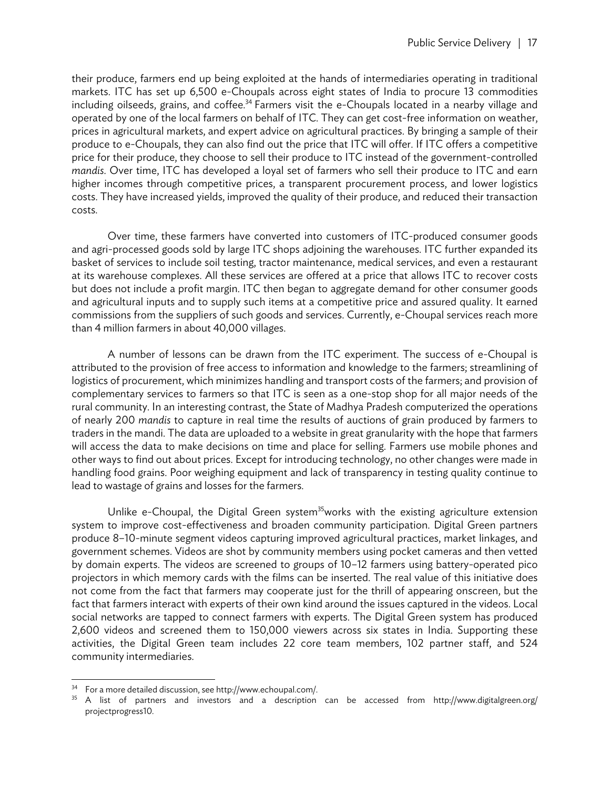their produce, farmers end up being exploited at the hands of intermediaries operating in traditional markets. ITC has set up 6,500 e-Choupals across eight states of India to procure 13 commodities including oilseeds, grains, and coffee.<sup>34</sup> Farmers visit the e-Choupals located in a nearby village and operated by one of the local farmers on behalf of ITC. They can get cost-free information on weather, prices in agricultural markets, and expert advice on agricultural practices. By bringing a sample of their produce to e-Choupals, they can also find out the price that ITC will offer. If ITC offers a competitive price for their produce, they choose to sell their produce to ITC instead of the government-controlled *mandis*. Over time, ITC has developed a loyal set of farmers who sell their produce to ITC and earn higher incomes through competitive prices, a transparent procurement process, and lower logistics costs. They have increased yields, improved the quality of their produce, and reduced their transaction costs.

Over time, these farmers have converted into customers of ITC-produced consumer goods and agri-processed goods sold by large ITC shops adjoining the warehouses. ITC further expanded its basket of services to include soil testing, tractor maintenance, medical services, and even a restaurant at its warehouse complexes. All these services are offered at a price that allows ITC to recover costs but does not include a profit margin. ITC then began to aggregate demand for other consumer goods and agricultural inputs and to supply such items at a competitive price and assured quality. It earned commissions from the suppliers of such goods and services. Currently, e-Choupal services reach more than 4 million farmers in about 40,000 villages.

A number of lessons can be drawn from the ITC experiment. The success of e-Choupal is attributed to the provision of free access to information and knowledge to the farmers; streamlining of logistics of procurement, which minimizes handling and transport costs of the farmers; and provision of complementary services to farmers so that ITC is seen as a one-stop shop for all major needs of the rural community. In an interesting contrast, the State of Madhya Pradesh computerized the operations of nearly 200 *mandis* to capture in real time the results of auctions of grain produced by farmers to traders in the mandi. The data are uploaded to a website in great granularity with the hope that farmers will access the data to make decisions on time and place for selling. Farmers use mobile phones and other ways to find out about prices. Except for introducing technology, no other changes were made in handling food grains. Poor weighing equipment and lack of transparency in testing quality continue to lead to wastage of grains and losses for the farmers.

Unlike e-Choupal, the Digital Green system<sup>35</sup>works with the existing agriculture extension system to improve cost-effectiveness and broaden community participation. Digital Green partners produce 8–10-minute segment videos capturing improved agricultural practices, market linkages, and government schemes. Videos are shot by community members using pocket cameras and then vetted by domain experts. The videos are screened to groups of 10–12 farmers using battery-operated pico projectors in which memory cards with the films can be inserted. The real value of this initiative does not come from the fact that farmers may cooperate just for the thrill of appearing onscreen, but the fact that farmers interact with experts of their own kind around the issues captured in the videos. Local social networks are tapped to connect farmers with experts. The Digital Green system has produced 2,600 videos and screened them to 150,000 viewers across six states in India. Supporting these activities, the Digital Green team includes 22 core team members, 102 partner staff, and 524 community intermediaries.

<sup>34</sup> For a more detailed discussion, see http://www.echoupal.com/.

<sup>&</sup>lt;sup>35</sup> A list of partners and investors and a description can be accessed from http://www.digitalgreen.org/ projectprogress10.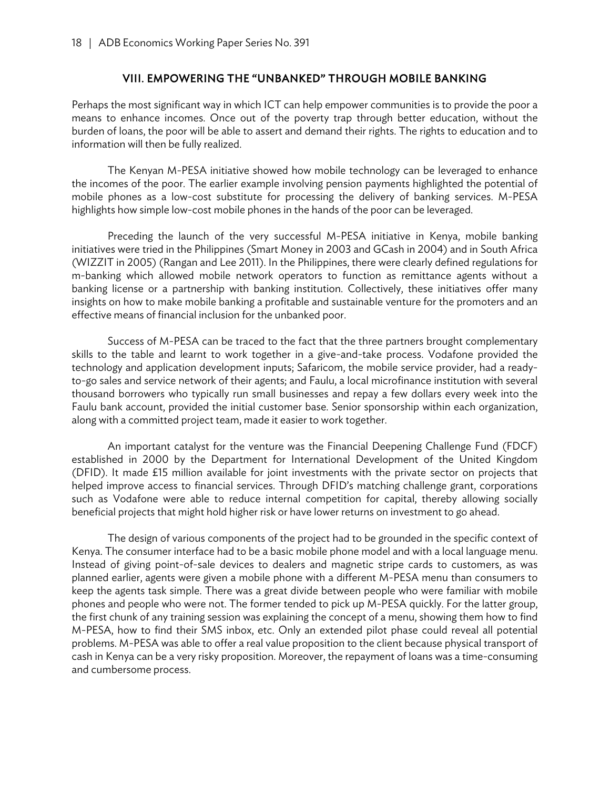#### VIII. EMPOWERING THE "UNBANKED" THROUGH MOBILE BANKING

Perhaps the most significant way in which ICT can help empower communities is to provide the poor a means to enhance incomes. Once out of the poverty trap through better education, without the burden of loans, the poor will be able to assert and demand their rights. The rights to education and to information will then be fully realized.

The Kenyan M-PESA initiative showed how mobile technology can be leveraged to enhance the incomes of the poor. The earlier example involving pension payments highlighted the potential of mobile phones as a low-cost substitute for processing the delivery of banking services. M-PESA highlights how simple low-cost mobile phones in the hands of the poor can be leveraged.

Preceding the launch of the very successful M-PESA initiative in Kenya, mobile banking initiatives were tried in the Philippines (Smart Money in 2003 and GCash in 2004) and in South Africa (WIZZIT in 2005) (Rangan and Lee 2011). In the Philippines, there were clearly defined regulations for m-banking which allowed mobile network operators to function as remittance agents without a banking license or a partnership with banking institution. Collectively, these initiatives offer many insights on how to make mobile banking a profitable and sustainable venture for the promoters and an effective means of financial inclusion for the unbanked poor.

Success of M-PESA can be traced to the fact that the three partners brought complementary skills to the table and learnt to work together in a give-and-take process. Vodafone provided the technology and application development inputs; Safaricom, the mobile service provider, had a readyto-go sales and service network of their agents; and Faulu, a local microfinance institution with several thousand borrowers who typically run small businesses and repay a few dollars every week into the Faulu bank account, provided the initial customer base. Senior sponsorship within each organization, along with a committed project team, made it easier to work together.

An important catalyst for the venture was the Financial Deepening Challenge Fund (FDCF) established in 2000 by the Department for International Development of the United Kingdom (DFID). It made £15 million available for joint investments with the private sector on projects that helped improve access to financial services. Through DFID's matching challenge grant, corporations such as Vodafone were able to reduce internal competition for capital, thereby allowing socially beneficial projects that might hold higher risk or have lower returns on investment to go ahead.

The design of various components of the project had to be grounded in the specific context of Kenya. The consumer interface had to be a basic mobile phone model and with a local language menu. Instead of giving point-of-sale devices to dealers and magnetic stripe cards to customers, as was planned earlier, agents were given a mobile phone with a different M-PESA menu than consumers to keep the agents task simple. There was a great divide between people who were familiar with mobile phones and people who were not. The former tended to pick up M-PESA quickly. For the latter group, the first chunk of any training session was explaining the concept of a menu, showing them how to find M-PESA, how to find their SMS inbox, etc. Only an extended pilot phase could reveal all potential problems. M-PESA was able to offer a real value proposition to the client because physical transport of cash in Kenya can be a very risky proposition. Moreover, the repayment of loans was a time-consuming and cumbersome process.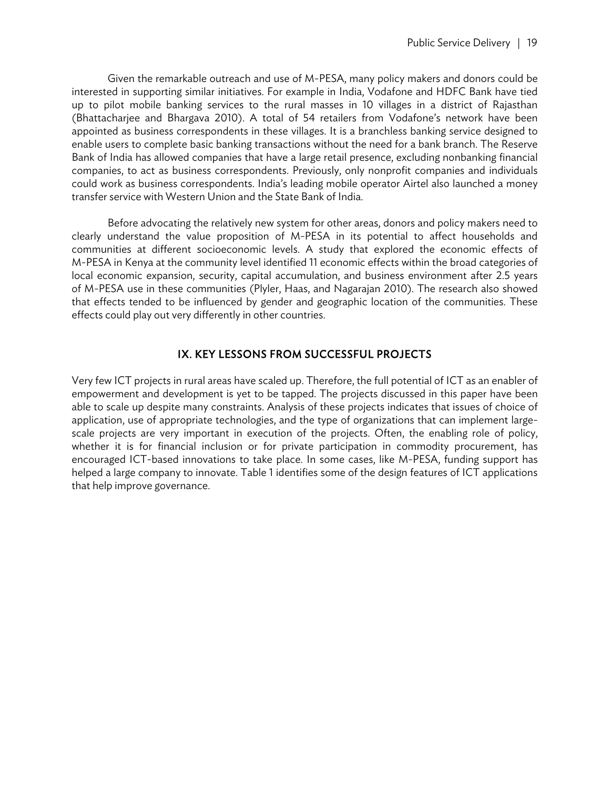Given the remarkable outreach and use of M-PESA, many policy makers and donors could be interested in supporting similar initiatives. For example in India, Vodafone and HDFC Bank have tied up to pilot mobile banking services to the rural masses in 10 villages in a district of Rajasthan (Bhattacharjee and Bhargava 2010). A total of 54 retailers from Vodafone's network have been appointed as business correspondents in these villages. It is a branchless banking service designed to enable users to complete basic banking transactions without the need for a bank branch. The Reserve Bank of India has allowed companies that have a large retail presence, excluding nonbanking financial companies, to act as business correspondents. Previously, only nonprofit companies and individuals could work as business correspondents. India's leading mobile operator Airtel also launched a money transfer service with Western Union and the State Bank of India.

Before advocating the relatively new system for other areas, donors and policy makers need to clearly understand the value proposition of M-PESA in its potential to affect households and communities at different socioeconomic levels. A study that explored the economic effects of M-PESA in Kenya at the community level identified 11 economic effects within the broad categories of local economic expansion, security, capital accumulation, and business environment after 2.5 years of M-PESA use in these communities (Plyler, Haas, and Nagarajan 2010). The research also showed that effects tended to be influenced by gender and geographic location of the communities. These effects could play out very differently in other countries.

#### IX. KEY LESSONS FROM SUCCESSFUL PROJECTS

Very few ICT projects in rural areas have scaled up. Therefore, the full potential of ICT as an enabler of empowerment and development is yet to be tapped. The projects discussed in this paper have been able to scale up despite many constraints. Analysis of these projects indicates that issues of choice of application, use of appropriate technologies, and the type of organizations that can implement largescale projects are very important in execution of the projects. Often, the enabling role of policy, whether it is for financial inclusion or for private participation in commodity procurement, has encouraged ICT-based innovations to take place. In some cases, like M-PESA, funding support has helped a large company to innovate. Table 1 identifies some of the design features of ICT applications that help improve governance.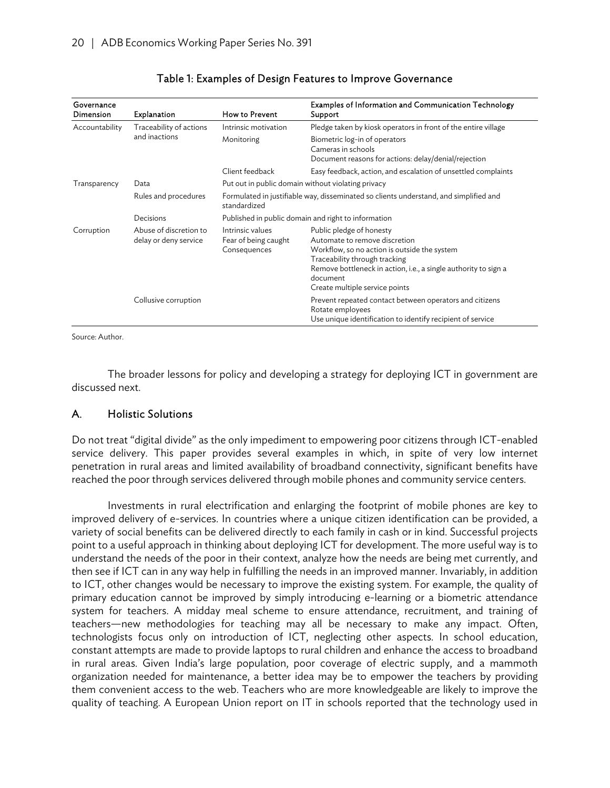| Governance<br>Dimension | <b>Explanation</b>                              | How to Prevent                                                                                        | Examples of Information and Communication Technology<br>Support                                                                                                                                                                                             |  |  |
|-------------------------|-------------------------------------------------|-------------------------------------------------------------------------------------------------------|-------------------------------------------------------------------------------------------------------------------------------------------------------------------------------------------------------------------------------------------------------------|--|--|
| Accountability          | Traceability of actions<br>and inactions        | Intrinsic motivation                                                                                  | Pledge taken by kiosk operators in front of the entire village                                                                                                                                                                                              |  |  |
|                         |                                                 | Monitoring                                                                                            | Biometric log-in of operators<br>Cameras in schools<br>Document reasons for actions: delay/denial/rejection                                                                                                                                                 |  |  |
|                         |                                                 | Client feedback                                                                                       | Easy feedback, action, and escalation of unsettled complaints                                                                                                                                                                                               |  |  |
| Transparency            | Data                                            | Put out in public domain without violating privacy                                                    |                                                                                                                                                                                                                                                             |  |  |
|                         | Rules and procedures                            | Formulated in justifiable way, disseminated so clients understand, and simplified and<br>standardized |                                                                                                                                                                                                                                                             |  |  |
|                         | Decisions                                       |                                                                                                       | Published in public domain and right to information                                                                                                                                                                                                         |  |  |
| Corruption              | Abuse of discretion to<br>delay or deny service | Intrinsic values<br>Fear of being caught<br>Consequences                                              | Public pledge of honesty<br>Automate to remove discretion<br>Workflow, so no action is outside the system<br>Traceability through tracking<br>Remove bottleneck in action, i.e., a single authority to sign a<br>document<br>Create multiple service points |  |  |
|                         | Collusive corruption                            |                                                                                                       | Prevent repeated contact between operators and citizens<br>Rotate employees<br>Use unique identification to identify recipient of service                                                                                                                   |  |  |

#### Table 1: Examples of Design Features to Improve Governance

Source: Author.

The broader lessons for policy and developing a strategy for deploying ICT in government are discussed next.

#### A. Holistic Solutions

Do not treat "digital divide" as the only impediment to empowering poor citizens through ICT-enabled service delivery. This paper provides several examples in which, in spite of very low internet penetration in rural areas and limited availability of broadband connectivity, significant benefits have reached the poor through services delivered through mobile phones and community service centers.

Investments in rural electrification and enlarging the footprint of mobile phones are key to improved delivery of e-services. In countries where a unique citizen identification can be provided, a variety of social benefits can be delivered directly to each family in cash or in kind. Successful projects point to a useful approach in thinking about deploying ICT for development. The more useful way is to understand the needs of the poor in their context, analyze how the needs are being met currently, and then see if ICT can in any way help in fulfilling the needs in an improved manner. Invariably, in addition to ICT, other changes would be necessary to improve the existing system. For example, the quality of primary education cannot be improved by simply introducing e-learning or a biometric attendance system for teachers. A midday meal scheme to ensure attendance, recruitment, and training of teachers—new methodologies for teaching may all be necessary to make any impact. Often, technologists focus only on introduction of ICT, neglecting other aspects. In school education, constant attempts are made to provide laptops to rural children and enhance the access to broadband in rural areas. Given India's large population, poor coverage of electric supply, and a mammoth organization needed for maintenance, a better idea may be to empower the teachers by providing them convenient access to the web. Teachers who are more knowledgeable are likely to improve the quality of teaching. A European Union report on IT in schools reported that the technology used in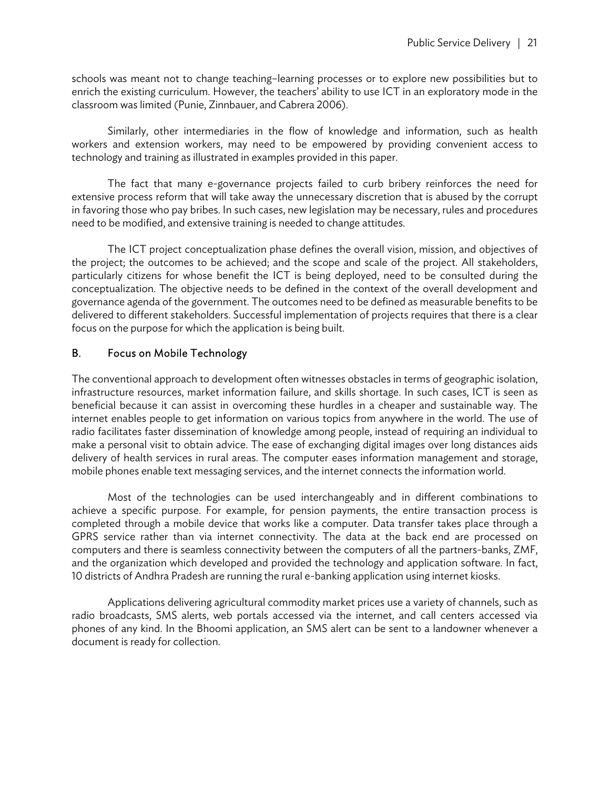schools was meant not to change teaching–learning processes or to explore new possibilities but to enrich the existing curriculum. However, the teachers' ability to use ICT in an exploratory mode in the classroom was limited (Punie, Zinnbauer, and Cabrera 2006).

Similarly, other intermediaries in the flow of knowledge and information, such as health workers and extension workers, may need to be empowered by providing convenient access to technology and training as illustrated in examples provided in this paper.

The fact that many e-governance projects failed to curb bribery reinforces the need for extensive process reform that will take away the unnecessary discretion that is abused by the corrupt in favoring those who pay bribes. In such cases, new legislation may be necessary, rules and procedures need to be modified, and extensive training is needed to change attitudes.

The ICT project conceptualization phase defines the overall vision, mission, and objectives of the project; the outcomes to be achieved; and the scope and scale of the project. All stakeholders, particularly citizens for whose benefit the ICT is being deployed, need to be consulted during the conceptualization. The objective needs to be defined in the context of the overall development and governance agenda of the government. The outcomes need to be defined as measurable benefits to be delivered to different stakeholders. Successful implementation of projects requires that there is a clear focus on the purpose for which the application is being built.

#### B. Focus on Mobile Technology

The conventional approach to development often witnesses obstacles in terms of geographic isolation, infrastructure resources, market information failure, and skills shortage. In such cases, ICT is seen as beneficial because it can assist in overcoming these hurdles in a cheaper and sustainable way. The internet enables people to get information on various topics from anywhere in the world. The use of radio facilitates faster dissemination of knowledge among people, instead of requiring an individual to make a personal visit to obtain advice. The ease of exchanging digital images over long distances aids delivery of health services in rural areas. The computer eases information management and storage, mobile phones enable text messaging services, and the internet connects the information world.

Most of the technologies can be used interchangeably and in different combinations to achieve a specific purpose. For example, for pension payments, the entire transaction process is completed through a mobile device that works like a computer. Data transfer takes place through a GPRS service rather than via internet connectivity. The data at the back end are processed on computers and there is seamless connectivity between the computers of all the partners-banks, ZMF, and the organization which developed and provided the technology and application software. In fact, 10 districts of Andhra Pradesh are running the rural e-banking application using internet kiosks.

Applications delivering agricultural commodity market prices use a variety of channels, such as radio broadcasts, SMS alerts, web portals accessed via the internet, and call centers accessed via phones of any kind. In the Bhoomi application, an SMS alert can be sent to a landowner whenever a document is ready for collection.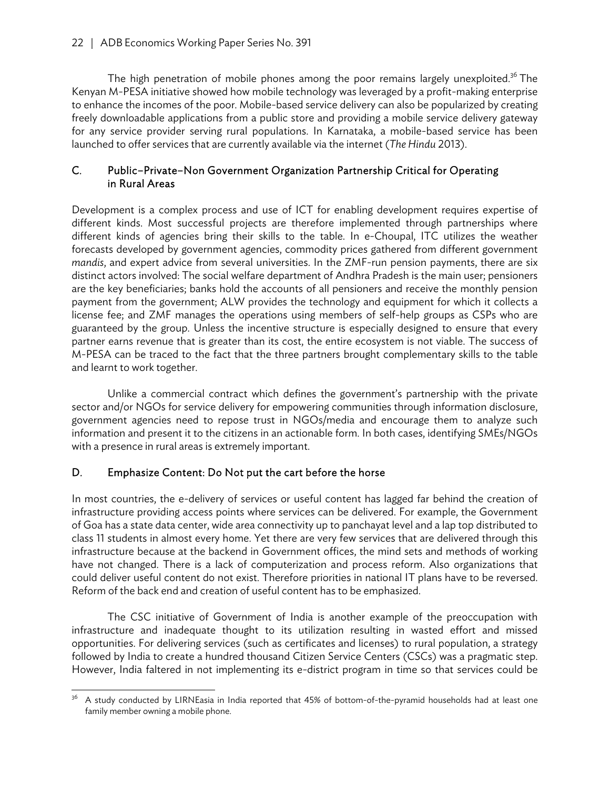The high penetration of mobile phones among the poor remains largely unexploited.<sup>36</sup> The Kenyan M-PESA initiative showed how mobile technology was leveraged by a profit-making enterprise to enhance the incomes of the poor. Mobile-based service delivery can also be popularized by creating freely downloadable applications from a public store and providing a mobile service delivery gateway for any service provider serving rural populations. In Karnataka, a mobile-based service has been launched to offer services that are currently available via the internet (*The Hindu* 2013).

#### C. Public–Private–Non Government Organization Partnership Critical for Operating in Rural Areas

Development is a complex process and use of ICT for enabling development requires expertise of different kinds. Most successful projects are therefore implemented through partnerships where different kinds of agencies bring their skills to the table. In e-Choupal, ITC utilizes the weather forecasts developed by government agencies, commodity prices gathered from different government *mandis*, and expert advice from several universities. In the ZMF-run pension payments, there are six distinct actors involved: The social welfare department of Andhra Pradesh is the main user; pensioners are the key beneficiaries; banks hold the accounts of all pensioners and receive the monthly pension payment from the government; ALW provides the technology and equipment for which it collects a license fee; and ZMF manages the operations using members of self-help groups as CSPs who are guaranteed by the group. Unless the incentive structure is especially designed to ensure that every partner earns revenue that is greater than its cost, the entire ecosystem is not viable. The success of M-PESA can be traced to the fact that the three partners brought complementary skills to the table and learnt to work together.

Unlike a commercial contract which defines the government's partnership with the private sector and/or NGOs for service delivery for empowering communities through information disclosure, government agencies need to repose trust in NGOs/media and encourage them to analyze such information and present it to the citizens in an actionable form. In both cases, identifying SMEs/NGOs with a presence in rural areas is extremely important.

#### D. Emphasize Content: Do Not put the cart before the horse

In most countries, the e-delivery of services or useful content has lagged far behind the creation of infrastructure providing access points where services can be delivered. For example, the Government of Goa has a state data center, wide area connectivity up to panchayat level and a lap top distributed to class 11 students in almost every home. Yet there are very few services that are delivered through this infrastructure because at the backend in Government offices, the mind sets and methods of working have not changed. There is a lack of computerization and process reform. Also organizations that could deliver useful content do not exist. Therefore priorities in national IT plans have to be reversed. Reform of the back end and creation of useful content has to be emphasized.

The CSC initiative of Government of India is another example of the preoccupation with infrastructure and inadequate thought to its utilization resulting in wasted effort and missed opportunities. For delivering services (such as certificates and licenses) to rural population, a strategy followed by India to create a hundred thousand Citizen Service Centers (CSCs) was a pragmatic step. However, India faltered in not implementing its e-district program in time so that services could be

<sup>36</sup> 36 A study conducted by LIRNEasia in India reported that 45% of bottom-of-the-pyramid households had at least one family member owning a mobile phone.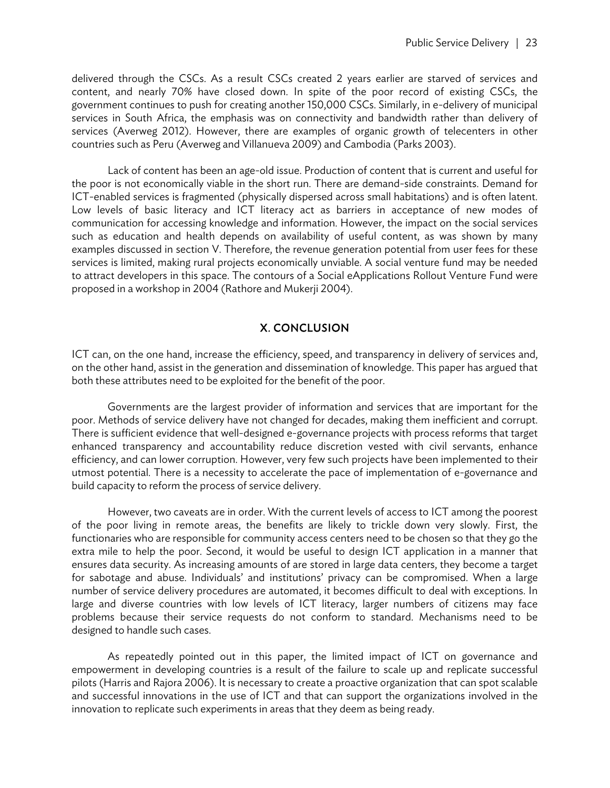delivered through the CSCs. As a result CSCs created 2 years earlier are starved of services and content, and nearly 70% have closed down. In spite of the poor record of existing CSCs, the government continues to push for creating another 150,000 CSCs. Similarly, in e-delivery of municipal services in South Africa, the emphasis was on connectivity and bandwidth rather than delivery of services (Averweg 2012). However, there are examples of organic growth of telecenters in other countries such as Peru (Averweg and Villanueva 2009) and Cambodia (Parks 2003).

Lack of content has been an age-old issue. Production of content that is current and useful for the poor is not economically viable in the short run. There are demand-side constraints. Demand for ICT-enabled services is fragmented (physically dispersed across small habitations) and is often latent. Low levels of basic literacy and ICT literacy act as barriers in acceptance of new modes of communication for accessing knowledge and information. However, the impact on the social services such as education and health depends on availability of useful content, as was shown by many examples discussed in section V. Therefore, the revenue generation potential from user fees for these services is limited, making rural projects economically unviable. A social venture fund may be needed to attract developers in this space. The contours of a Social eApplications Rollout Venture Fund were proposed in a workshop in 2004 (Rathore and Mukerji 2004).

#### X. CONCLUSION

ICT can, on the one hand, increase the efficiency, speed, and transparency in delivery of services and, on the other hand, assist in the generation and dissemination of knowledge. This paper has argued that both these attributes need to be exploited for the benefit of the poor.

Governments are the largest provider of information and services that are important for the poor. Methods of service delivery have not changed for decades, making them inefficient and corrupt. There is sufficient evidence that well-designed e-governance projects with process reforms that target enhanced transparency and accountability reduce discretion vested with civil servants, enhance efficiency, and can lower corruption. However, very few such projects have been implemented to their utmost potential. There is a necessity to accelerate the pace of implementation of e-governance and build capacity to reform the process of service delivery.

However, two caveats are in order. With the current levels of access to ICT among the poorest of the poor living in remote areas, the benefits are likely to trickle down very slowly. First, the functionaries who are responsible for community access centers need to be chosen so that they go the extra mile to help the poor. Second, it would be useful to design ICT application in a manner that ensures data security. As increasing amounts of are stored in large data centers, they become a target for sabotage and abuse. Individuals' and institutions' privacy can be compromised. When a large number of service delivery procedures are automated, it becomes difficult to deal with exceptions. In large and diverse countries with low levels of ICT literacy, larger numbers of citizens may face problems because their service requests do not conform to standard. Mechanisms need to be designed to handle such cases.

As repeatedly pointed out in this paper, the limited impact of ICT on governance and empowerment in developing countries is a result of the failure to scale up and replicate successful pilots (Harris and Rajora 2006). It is necessary to create a proactive organization that can spot scalable and successful innovations in the use of ICT and that can support the organizations involved in the innovation to replicate such experiments in areas that they deem as being ready.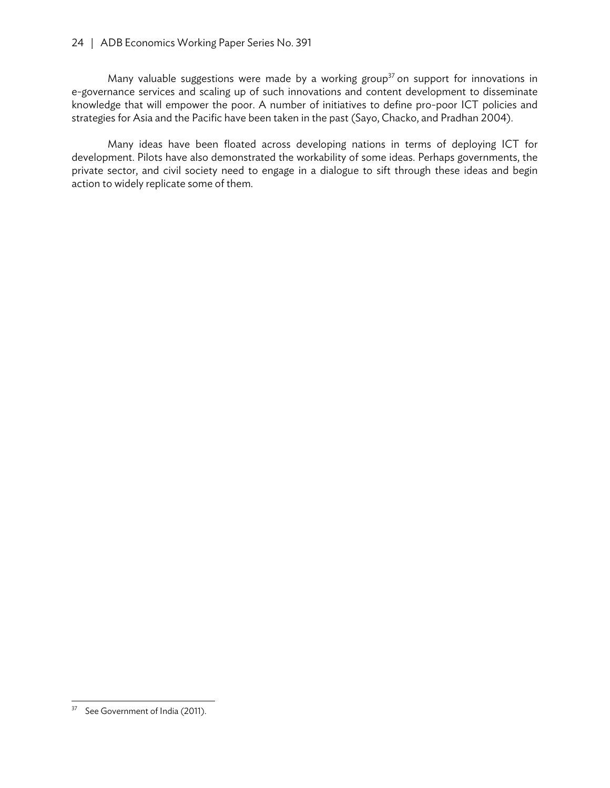#### 24 | ADB Economics Working Paper Series No. 391

Many valuable suggestions were made by a working group<sup>37</sup> on support for innovations in e-governance services and scaling up of such innovations and content development to disseminate knowledge that will empower the poor. A number of initiatives to define pro-poor ICT policies and strategies for Asia and the Pacific have been taken in the past (Sayo, Chacko, and Pradhan 2004).

Many ideas have been floated across developing nations in terms of deploying ICT for development. Pilots have also demonstrated the workability of some ideas. Perhaps governments, the private sector, and civil society need to engage in a dialogue to sift through these ideas and begin action to widely replicate some of them.

 <sup>37</sup> See Government of India (2011).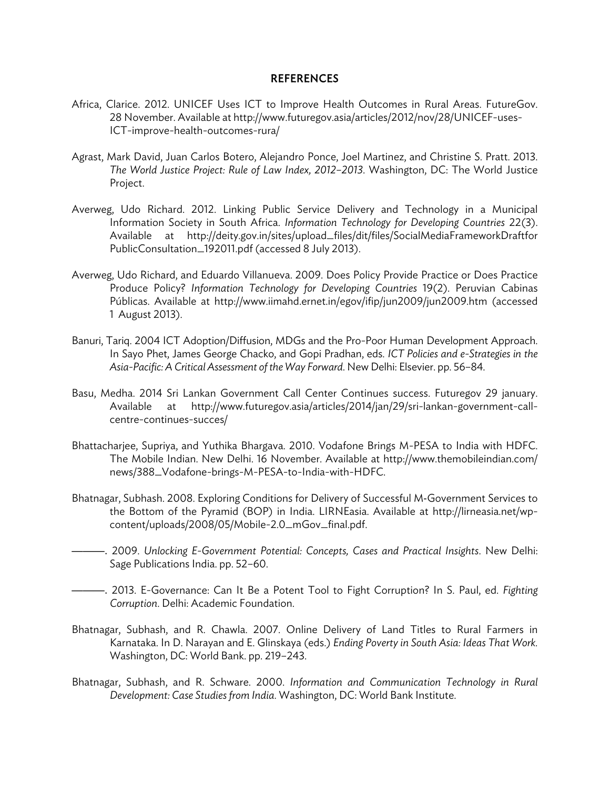#### REFERENCES

- Africa, Clarice. 2012. UNICEF Uses ICT to Improve Health Outcomes in Rural Areas. FutureGov. 28 November. Available at http://www.futuregov.asia/articles/2012/nov/28/UNICEF-uses-ICT-improve-health-outcomes-rura/
- Agrast, Mark David, Juan Carlos Botero, Alejandro Ponce, Joel Martinez, and Christine S. Pratt. 2013. *The World Justice Project: Rule of Law Index, 2012–2013*. Washington, DC: The World Justice Project.
- Averweg, Udo Richard. 2012. Linking Public Service Delivery and Technology in a Municipal Information Society in South Africa. *Information Technology for Developing Countries* 22(3). Available at http://deity.gov.in/sites/upload\_files/dit/files/SocialMediaFrameworkDraftfor PublicConsultation\_192011.pdf (accessed 8 July 2013).
- Averweg, Udo Richard, and Eduardo Villanueva. 2009. Does Policy Provide Practice or Does Practice Produce Policy? *Information Technology for Developing Countries* 19(2). Peruvian Cabinas Públicas. Available at http://www.iimahd.ernet.in/egov/ifip/jun2009/jun2009.htm (accessed 1 August 2013).
- Banuri, Tariq. 2004 ICT Adoption/Diffusion, MDGs and the Pro-Poor Human Development Approach. In Sayo Phet, James George Chacko, and Gopi Pradhan, eds. *ICT Policies and e-Strategies in the Asia-Pacific: A Critical Assessment of the Way Forward*. New Delhi: Elsevier. pp. 56–84.
- Basu, Medha. 2014 Sri Lankan Government Call Center Continues success. Futuregov 29 january. Available at http://www.futuregov.asia/articles/2014/jan/29/sri-lankan-government-callcentre-continues-succes/
- Bhattacharjee, Supriya, and Yuthika Bhargava. 2010. Vodafone Brings M-PESA to India with HDFC. The Mobile Indian. New Delhi. 16 November. Available at http://www.themobileindian.com/ news/388\_Vodafone-brings-M-PESA-to-India-with-HDFC.
- Bhatnagar, Subhash. 2008. Exploring Conditions for Delivery of Successful M-Government Services to the Bottom of the Pyramid (BOP) in India. LIRNEasia. Available at http://lirneasia.net/wpcontent/uploads/2008/05/Mobile-2.0\_mGov\_final.pdf.
- ———. 2009. *Unlocking E-Government Potential: Concepts, Cases and Practical Insights*. New Delhi: Sage Publications India. pp. 52–60.
- ———. 2013. E-Governance: Can It Be a Potent Tool to Fight Corruption? In S. Paul, ed. *Fighting Corruption*. Delhi: Academic Foundation.
- Bhatnagar, Subhash, and R. Chawla. 2007. Online Delivery of Land Titles to Rural Farmers in Karnataka. In D. Narayan and E. Glinskaya (eds.) *Ending Poverty in South Asia: Ideas That Work.*  Washington, DC: World Bank. pp. 219–243.
- Bhatnagar, Subhash, and R. Schware. 2000. *Information and Communication Technology in Rural Development: Case Studies from India*. Washington, DC: World Bank Institute.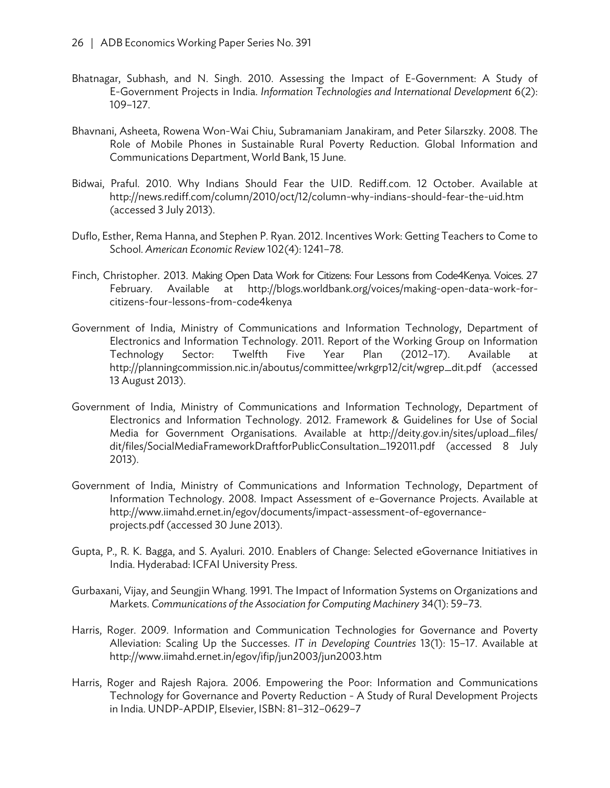- Bhatnagar, Subhash, and N. Singh. 2010. Assessing the Impact of E-Government: A Study of E-Government Projects in India. *Information Technologies and International Development* 6(2): 109–127.
- Bhavnani, Asheeta, Rowena Won-Wai Chiu, Subramaniam Janakiram, and Peter Silarszky. 2008. The Role of Mobile Phones in Sustainable Rural Poverty Reduction. Global Information and Communications Department, World Bank, 15 June.
- Bidwai, Praful. 2010. Why Indians Should Fear the UID. Rediff.com. 12 October. Available at http://news.rediff.com/column/2010/oct/12/column-why-indians-should-fear-the-uid.htm (accessed 3 July 2013).
- Duflo, Esther, Rema Hanna, and Stephen P. Ryan. 2012. Incentives Work: Getting Teachers to Come to School. *American Economic Review* 102(4): 1241–78.
- Finch, Christopher. 2013. Making Open Data Work for Citizens: Four Lessons from Code4Kenya. Voices. 27 February. Available at http://blogs.worldbank.org/voices/making-open-data-work-forcitizens-four-lessons-from-code4kenya
- Government of India, Ministry of Communications and Information Technology, Department of Electronics and Information Technology. 2011. Report of the Working Group on Information Technology Sector: Twelfth Five Year Plan (2012–17). Available at http://planningcommission.nic.in/aboutus/committee/wrkgrp12/cit/wgrep\_dit.pdf (accessed 13 August 2013).
- Government of India, Ministry of Communications and Information Technology, Department of Electronics and Information Technology. 2012. Framework & Guidelines for Use of Social Media for Government Organisations. Available at http://deity.gov.in/sites/upload\_files/ dit/files/SocialMediaFrameworkDraftforPublicConsultation\_192011.pdf (accessed 8 July 2013).
- Government of India, Ministry of Communications and Information Technology, Department of Information Technology. 2008. Impact Assessment of e-Governance Projects. Available at http://www.iimahd.ernet.in/egov/documents/impact-assessment-of-egovernanceprojects.pdf (accessed 30 June 2013).
- Gupta, P., R. K. Bagga, and S. Ayaluri. 2010. Enablers of Change: Selected eGovernance Initiatives in India. Hyderabad: ICFAI University Press.
- Gurbaxani, Vijay, and Seungjin Whang. 1991. The Impact of Information Systems on Organizations and Markets. *Communications of the Association for Computing Machinery* 34(1): 59–73.
- Harris, Roger. 2009. Information and Communication Technologies for Governance and Poverty Alleviation: Scaling Up the Successes. *IT in Developing Countries* 13(1): 15–17. Available at http://www.iimahd.ernet.in/egov/ifip/jun2003/jun2003.htm
- Harris, Roger and Rajesh Rajora. 2006. Empowering the Poor: Information and Communications Technology for Governance and Poverty Reduction - A Study of Rural Development Projects in India. UNDP-APDIP, Elsevier, ISBN: 81–312–0629–7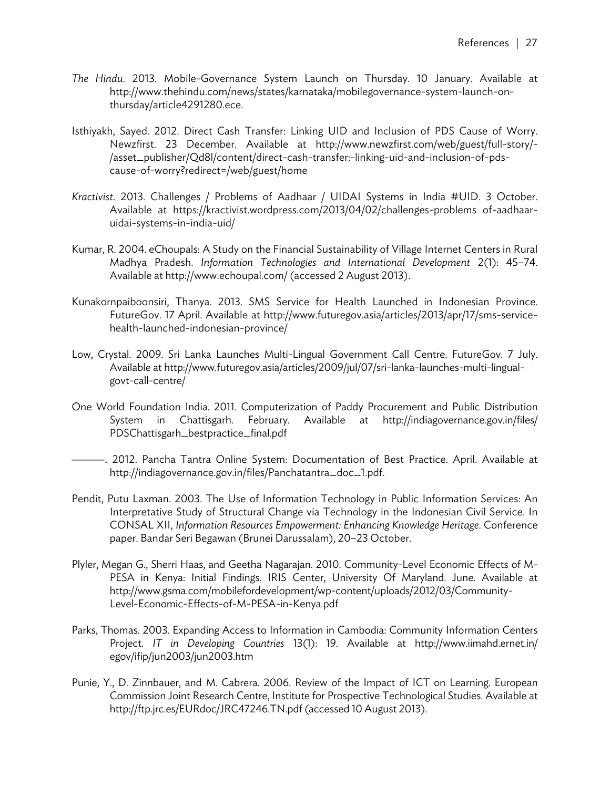- *The Hindu*. 2013. Mobile-Governance System Launch on Thursday. 10 January. Available at http://www.thehindu.com/news/states/karnataka/mobilegovernance-system-launch-onthursday/article4291280.ece.
- Isthiyakh, Sayed. 2012. Direct Cash Transfer: Linking UID and Inclusion of PDS Cause of Worry. Newzfirst. 23 December. Available at http://www.newzfirst.com/web/guest/full-story/- /asset\_publisher/Qd8l/content/direct-cash-transfer:-linking-uid-and-inclusion-of-pdscause-of-worry?redirect=/web/guest/home
- *Kractivist*. 2013. Challenges / Problems of Aadhaar / UIDAI Systems in India #UID. 3 October. Available at https://kractivist.wordpress.com/2013/04/02/challenges-problems of-aadhaaruidai-systems-in-india-uid/
- Kumar, R. 2004. eChoupals: A Study on the Financial Sustainability of Village Internet Centers in Rural Madhya Pradesh. *Information Technologies and International Development* 2(1): 45–74. Available at http://www.echoupal.com/ (accessed 2 August 2013).
- Kunakornpaiboonsiri, Thanya. 2013. SMS Service for Health Launched in Indonesian Province. FutureGov. 17 April. Available at http://www.futuregov.asia/articles/2013/apr/17/sms-servicehealth-launched-indonesian-province/
- Low, Crystal. 2009. Sri Lanka Launches Multi-Lingual Government Call Centre. FutureGov. 7 July. Available at http://www.futuregov.asia/articles/2009/jul/07/sri-lanka-launches-multi-lingualgovt-call-centre/
- One World Foundation India. 2011. Computerization of Paddy Procurement and Public Distribution System in Chattisgarh. February. Available at http://indiagovernance.gov.in/files/ PDSChattisgarh\_bestpractice\_final.pdf
- ———. 2012. Pancha Tantra Online System: Documentation of Best Practice. April. Available at http://indiagovernance.gov.in/files/Panchatantra\_doc\_1.pdf.
- Pendit, Putu Laxman. 2003. The Use of Information Technology in Public Information Services: An Interpretative Study of Structural Change via Technology in the Indonesian Civil Service. In CONSAL XII, *Information Resources Empowerment: Enhancing Knowledge Heritage*. Conference paper. Bandar Seri Begawan (Brunei Darussalam), 20–23 October.
- Plyler, Megan G., Sherri Haas, and Geetha Nagarajan. 2010. Community-Level Economic Effects of M-PESA in Kenya: Initial Findings. IRIS Center, University Of Maryland. June. Available at http://www.gsma.com/mobilefordevelopment/wp-content/uploads/2012/03/Community-Level-Economic-Effects-of-M-PESA-in-Kenya.pdf
- Parks, Thomas. 2003. Expanding Access to Information in Cambodia: Community Information Centers Project. *IT in Developing Countries* 13(1): 19. Available at http://www.iimahd.ernet.in/ egov/ifip/jun2003/jun2003.htm
- Punie, Y., D. Zinnbauer, and M. Cabrera. 2006. Review of the Impact of ICT on Learning. European Commission Joint Research Centre, Institute for Prospective Technological Studies. Available at http://ftp.jrc.es/EURdoc/JRC47246.TN.pdf (accessed 10 August 2013).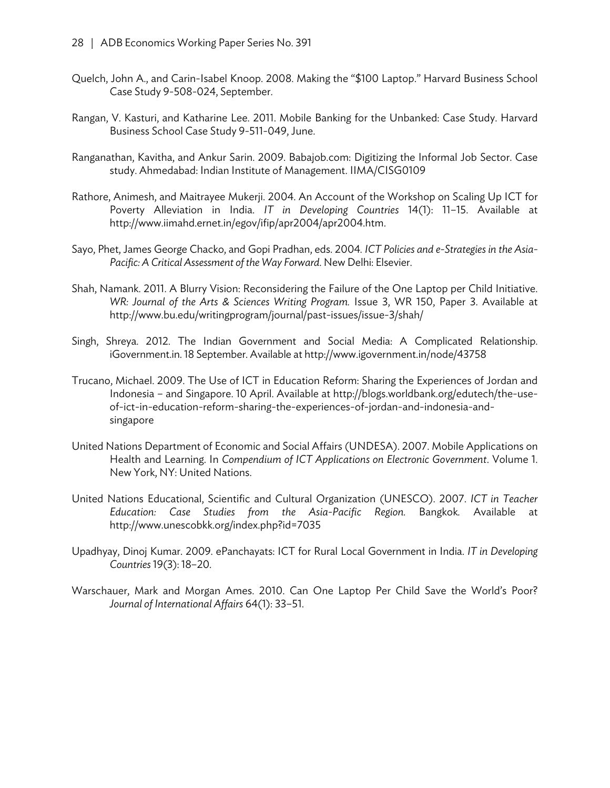- Quelch, John A., and Carin-Isabel Knoop. 2008. Making the "\$100 Laptop." Harvard Business School Case Study 9-508-024, September.
- Rangan, V. Kasturi, and Katharine Lee. 2011. Mobile Banking for the Unbanked: Case Study. Harvard Business School Case Study 9-511-049, June.
- Ranganathan, Kavitha, and Ankur Sarin. 2009. Babajob.com: Digitizing the Informal Job Sector. Case study. Ahmedabad: Indian Institute of Management. IIMA/CISG0109
- Rathore, Animesh, and Maitrayee Mukerji. 2004. An Account of the Workshop on Scaling Up ICT for Poverty Alleviation in India. *IT in Developing Countries* 14(1): 11–15. Available at http://www.iimahd.ernet.in/egov/ifip/apr2004/apr2004.htm.
- Sayo, Phet, James George Chacko, and Gopi Pradhan, eds. 2004. *ICT Policies and e-Strategies in the Asia-Pacific: A Critical Assessment of the Way Forward*. New Delhi: Elsevier.
- Shah, Namank. 2011. A Blurry Vision: Reconsidering the Failure of the One Laptop per Child Initiative. *WR: Journal of the Arts & Sciences Writing Program.* Issue 3, WR 150, Paper 3. Available at http://www.bu.edu/writingprogram/journal/past-issues/issue-3/shah/
- Singh, Shreya. 2012. The Indian Government and Social Media: A Complicated Relationship. iGovernment.in. 18 September. Available at http://www.igovernment.in/node/43758
- Trucano, Michael. 2009. The Use of ICT in Education Reform: Sharing the Experiences of Jordan and Indonesia – and Singapore. 10 April. Available at http://blogs.worldbank.org/edutech/the-useof-ict-in-education-reform-sharing-the-experiences-of-jordan-and-indonesia-andsingapore
- United Nations Department of Economic and Social Affairs (UNDESA). 2007. Mobile Applications on Health and Learning. In *Compendium of ICT Applications on Electronic Government*. Volume 1. New York, NY: United Nations.
- United Nations Educational, Scientific and Cultural Organization (UNESCO). 2007. *ICT in Teacher Education: Case Studies from the Asia-Pacific Region.* Bangkok*.* Available at http://www.unescobkk.org/index.php?id=7035
- Upadhyay, Dinoj Kumar. 2009. ePanchayats: ICT for Rural Local Government in India. *IT in Developing Countries* 19(3): 18–20.
- Warschauer, Mark and Morgan Ames. 2010. Can One Laptop Per Child Save the World's Poor? *Journal of International Affairs* 64(1): 33–51.